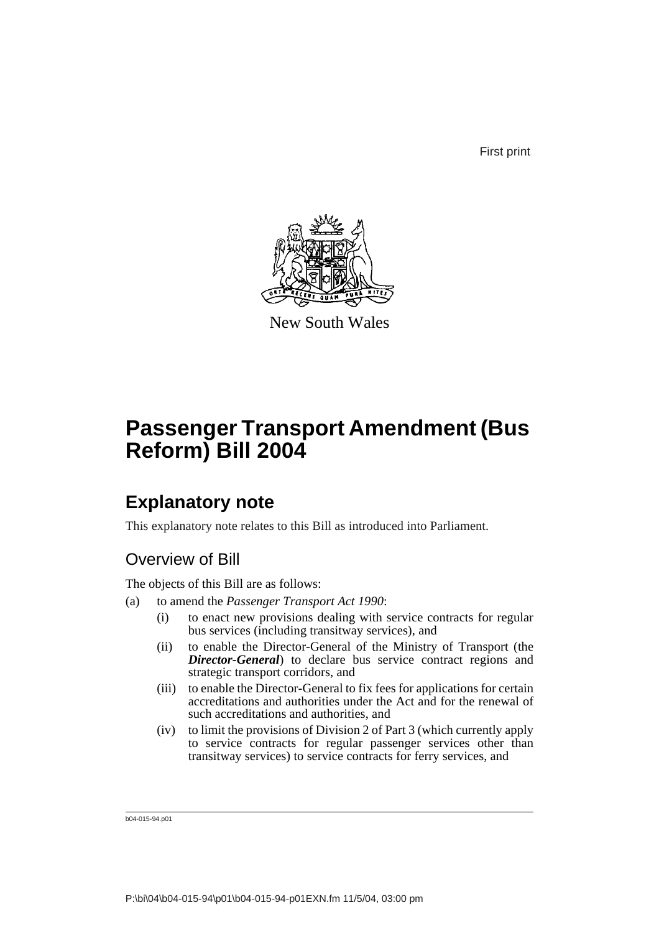First print



New South Wales

# **Passenger Transport Amendment (Bus Reform) Bill 2004**

## **Explanatory note**

This explanatory note relates to this Bill as introduced into Parliament.

## Overview of Bill

The objects of this Bill are as follows:

- (a) to amend the *Passenger Transport Act 1990*:
	- (i) to enact new provisions dealing with service contracts for regular bus services (including transitway services), and
	- (ii) to enable the Director-General of the Ministry of Transport (the *Director-General*) to declare bus service contract regions and strategic transport corridors, and
	- (iii) to enable the Director-General to fix fees for applications for certain accreditations and authorities under the Act and for the renewal of such accreditations and authorities, and
	- (iv) to limit the provisions of Division 2 of Part 3 (which currently apply to service contracts for regular passenger services other than transitway services) to service contracts for ferry services, and

b04-015-94.p01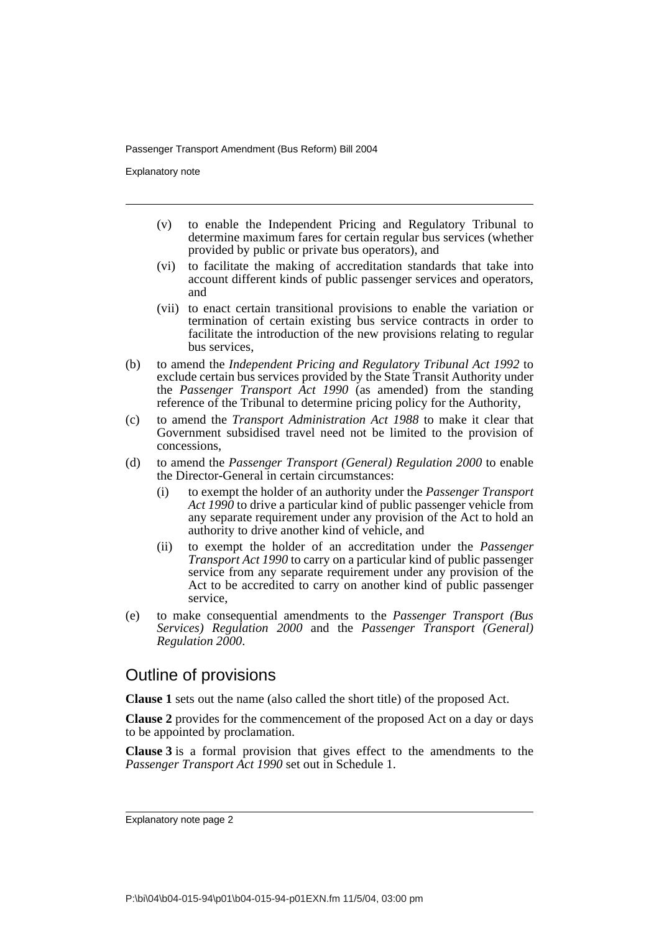Explanatory note

- (v) to enable the Independent Pricing and Regulatory Tribunal to determine maximum fares for certain regular bus services (whether provided by public or private bus operators), and
- (vi) to facilitate the making of accreditation standards that take into account different kinds of public passenger services and operators, and
- (vii) to enact certain transitional provisions to enable the variation or termination of certain existing bus service contracts in order to facilitate the introduction of the new provisions relating to regular bus services,
- (b) to amend the *Independent Pricing and Regulatory Tribunal Act 1992* to exclude certain bus services provided by the State Transit Authority under the *Passenger Transport Act 1990* (as amended) from the standing reference of the Tribunal to determine pricing policy for the Authority,
- (c) to amend the *Transport Administration Act 1988* to make it clear that Government subsidised travel need not be limited to the provision of concessions,
- (d) to amend the *Passenger Transport (General) Regulation 2000* to enable the Director-General in certain circumstances:
	- (i) to exempt the holder of an authority under the *Passenger Transport Act 1990* to drive a particular kind of public passenger vehicle from any separate requirement under any provision of the Act to hold an authority to drive another kind of vehicle, and
	- (ii) to exempt the holder of an accreditation under the *Passenger Transport Act 1990* to carry on a particular kind of public passenger service from any separate requirement under any provision of the Act to be accredited to carry on another kind of public passenger service,
- (e) to make consequential amendments to the *Passenger Transport (Bus Services) Regulation 2000* and the *Passenger Transport (General) Regulation 2000*.

## Outline of provisions

**Clause 1** sets out the name (also called the short title) of the proposed Act.

**Clause 2** provides for the commencement of the proposed Act on a day or days to be appointed by proclamation.

**Clause 3** is a formal provision that gives effect to the amendments to the *Passenger Transport Act 1990* set out in Schedule 1.

Explanatory note page 2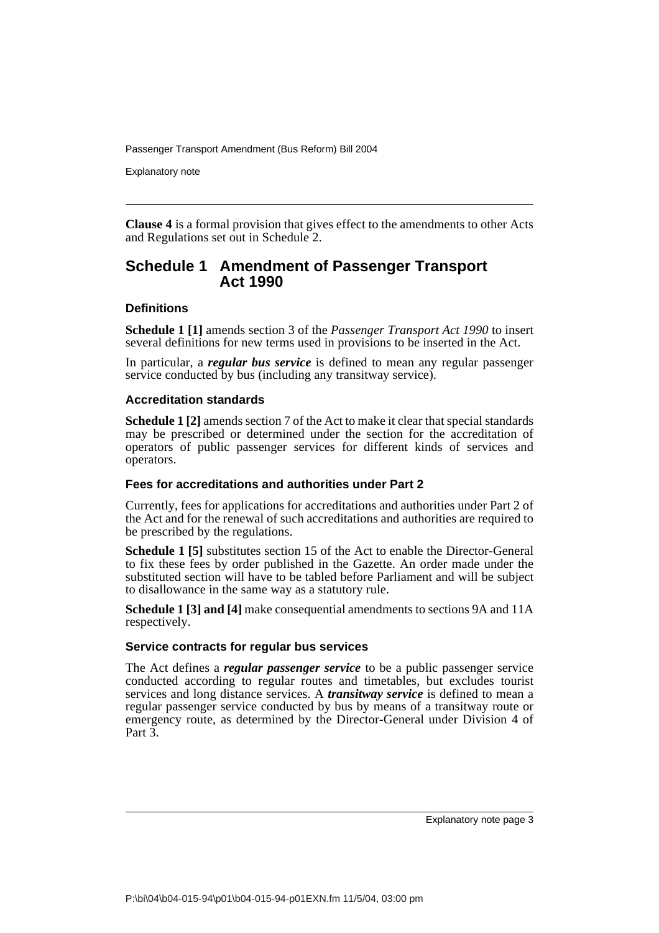Explanatory note

**Clause 4** is a formal provision that gives effect to the amendments to other Acts and Regulations set out in Schedule 2.

### **Schedule 1 Amendment of Passenger Transport Act 1990**

### **Definitions**

**Schedule 1 [1]** amends section 3 of the *Passenger Transport Act 1990* to insert several definitions for new terms used in provisions to be inserted in the Act.

In particular, a *regular bus service* is defined to mean any regular passenger service conducted by bus (including any transitway service).

### **Accreditation standards**

**Schedule 1 [2]** amends section 7 of the Act to make it clear that special standards may be prescribed or determined under the section for the accreditation of operators of public passenger services for different kinds of services and operators.

### **Fees for accreditations and authorities under Part 2**

Currently, fees for applications for accreditations and authorities under Part 2 of the Act and for the renewal of such accreditations and authorities are required to be prescribed by the regulations.

**Schedule 1 [5]** substitutes section 15 of the Act to enable the Director-General to fix these fees by order published in the Gazette. An order made under the substituted section will have to be tabled before Parliament and will be subject to disallowance in the same way as a statutory rule.

**Schedule 1 [3] and [4]** make consequential amendments to sections 9A and 11A respectively.

### **Service contracts for regular bus services**

The Act defines a *regular passenger service* to be a public passenger service conducted according to regular routes and timetables, but excludes tourist services and long distance services. A *transitway service* is defined to mean a regular passenger service conducted by bus by means of a transitway route or emergency route, as determined by the Director-General under Division 4 of Part 3.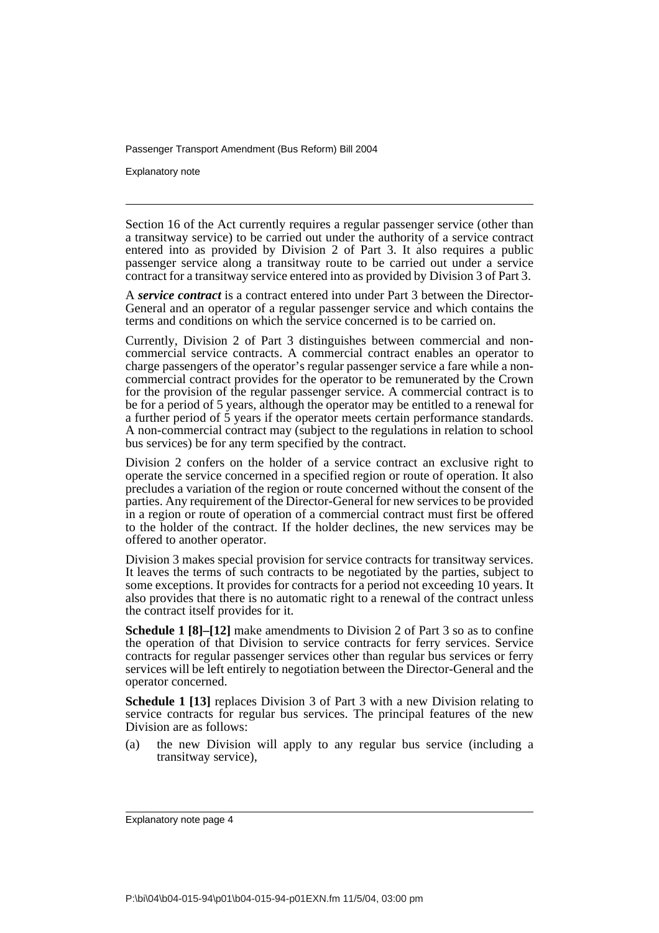Explanatory note

Section 16 of the Act currently requires a regular passenger service (other than a transitway service) to be carried out under the authority of a service contract entered into as provided by Division 2 of Part 3. It also requires a public passenger service along a transitway route to be carried out under a service contract for a transitway service entered into as provided by Division 3 of Part 3.

A *service contract* is a contract entered into under Part 3 between the Director-General and an operator of a regular passenger service and which contains the terms and conditions on which the service concerned is to be carried on.

Currently, Division 2 of Part 3 distinguishes between commercial and noncommercial service contracts. A commercial contract enables an operator to charge passengers of the operator's regular passenger service a fare while a noncommercial contract provides for the operator to be remunerated by the Crown for the provision of the regular passenger service. A commercial contract is to be for a period of 5 years, although the operator may be entitled to a renewal for a further period of 5 years if the operator meets certain performance standards. A non-commercial contract may (subject to the regulations in relation to school bus services) be for any term specified by the contract.

Division 2 confers on the holder of a service contract an exclusive right to operate the service concerned in a specified region or route of operation. It also precludes a variation of the region or route concerned without the consent of the parties. Any requirement of the Director-General for new services to be provided in a region or route of operation of a commercial contract must first be offered to the holder of the contract. If the holder declines, the new services may be offered to another operator.

Division 3 makes special provision for service contracts for transitway services. It leaves the terms of such contracts to be negotiated by the parties, subject to some exceptions. It provides for contracts for a period not exceeding 10 years. It also provides that there is no automatic right to a renewal of the contract unless the contract itself provides for it.

**Schedule 1 [8]–[12]** make amendments to Division 2 of Part 3 so as to confine the operation of that Division to service contracts for ferry services. Service contracts for regular passenger services other than regular bus services or ferry services will be left entirely to negotiation between the Director-General and the operator concerned.

**Schedule 1 [13]** replaces Division 3 of Part 3 with a new Division relating to service contracts for regular bus services. The principal features of the new Division are as follows:

(a) the new Division will apply to any regular bus service (including a transitway service),

Explanatory note page 4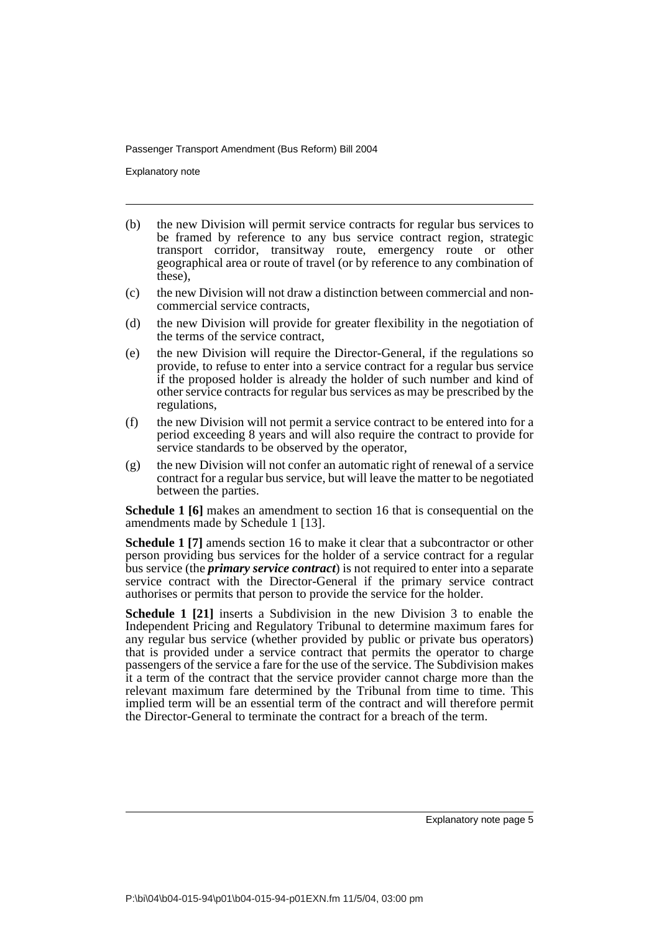Explanatory note

- (b) the new Division will permit service contracts for regular bus services to be framed by reference to any bus service contract region, strategic transport corridor, transitway route, emergency route or other geographical area or route of travel (or by reference to any combination of these),
- (c) the new Division will not draw a distinction between commercial and noncommercial service contracts,
- (d) the new Division will provide for greater flexibility in the negotiation of the terms of the service contract,
- (e) the new Division will require the Director-General, if the regulations so provide, to refuse to enter into a service contract for a regular bus service if the proposed holder is already the holder of such number and kind of other service contracts for regular bus services as may be prescribed by the regulations,
- (f) the new Division will not permit a service contract to be entered into for a period exceeding 8 years and will also require the contract to provide for service standards to be observed by the operator,
- (g) the new Division will not confer an automatic right of renewal of a service contract for a regular bus service, but will leave the matter to be negotiated between the parties.

**Schedule 1 [6]** makes an amendment to section 16 that is consequential on the amendments made by Schedule 1 [13].

**Schedule 1 [7]** amends section 16 to make it clear that a subcontractor or other person providing bus services for the holder of a service contract for a regular bus service (the *primary service contract*) is not required to enter into a separate service contract with the Director-General if the primary service contract authorises or permits that person to provide the service for the holder.

**Schedule 1 [21]** inserts a Subdivision in the new Division 3 to enable the Independent Pricing and Regulatory Tribunal to determine maximum fares for any regular bus service (whether provided by public or private bus operators) that is provided under a service contract that permits the operator to charge passengers of the service a fare for the use of the service. The Subdivision makes it a term of the contract that the service provider cannot charge more than the relevant maximum fare determined by the Tribunal from time to time. This implied term will be an essential term of the contract and will therefore permit the Director-General to terminate the contract for a breach of the term.

Explanatory note page 5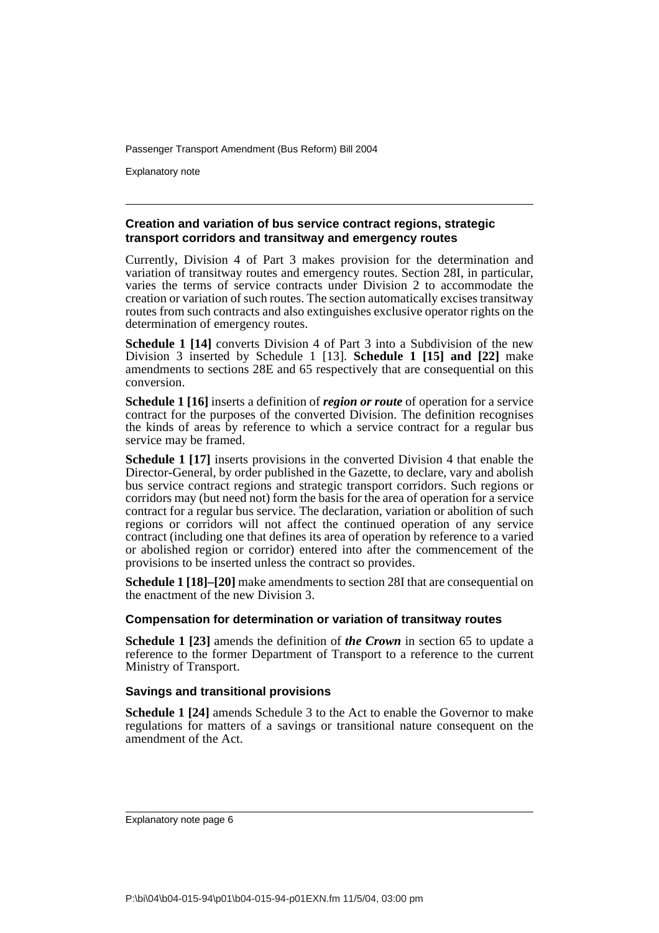Explanatory note

### **Creation and variation of bus service contract regions, strategic transport corridors and transitway and emergency routes**

Currently, Division 4 of Part 3 makes provision for the determination and variation of transitway routes and emergency routes. Section 28I, in particular, varies the terms of service contracts under Division 2 to accommodate the creation or variation of such routes. The section automatically excises transitway routes from such contracts and also extinguishes exclusive operator rights on the determination of emergency routes.

**Schedule 1 [14]** converts Division 4 of Part 3 into a Subdivision of the new Division 3 inserted by Schedule 1 [13]. **Schedule 1 [15] and [22]** make amendments to sections 28E and 65 respectively that are consequential on this conversion.

**Schedule 1 [16]** inserts a definition of *region or route* of operation for a service contract for the purposes of the converted Division. The definition recognises the kinds of areas by reference to which a service contract for a regular bus service may be framed.

**Schedule 1 [17]** inserts provisions in the converted Division 4 that enable the Director-General, by order published in the Gazette, to declare, vary and abolish bus service contract regions and strategic transport corridors. Such regions or corridors may (but need not) form the basis for the area of operation for a service contract for a regular bus service. The declaration, variation or abolition of such regions or corridors will not affect the continued operation of any service contract (including one that defines its area of operation by reference to a varied or abolished region or corridor) entered into after the commencement of the provisions to be inserted unless the contract so provides.

**Schedule 1 [18]–[20]** make amendments to section 28I that are consequential on the enactment of the new Division 3.

### **Compensation for determination or variation of transitway routes**

**Schedule 1 [23]** amends the definition of *the Crown* in section 65 to update a reference to the former Department of Transport to a reference to the current Ministry of Transport.

### **Savings and transitional provisions**

**Schedule 1 [24]** amends Schedule 3 to the Act to enable the Governor to make regulations for matters of a savings or transitional nature consequent on the amendment of the Act.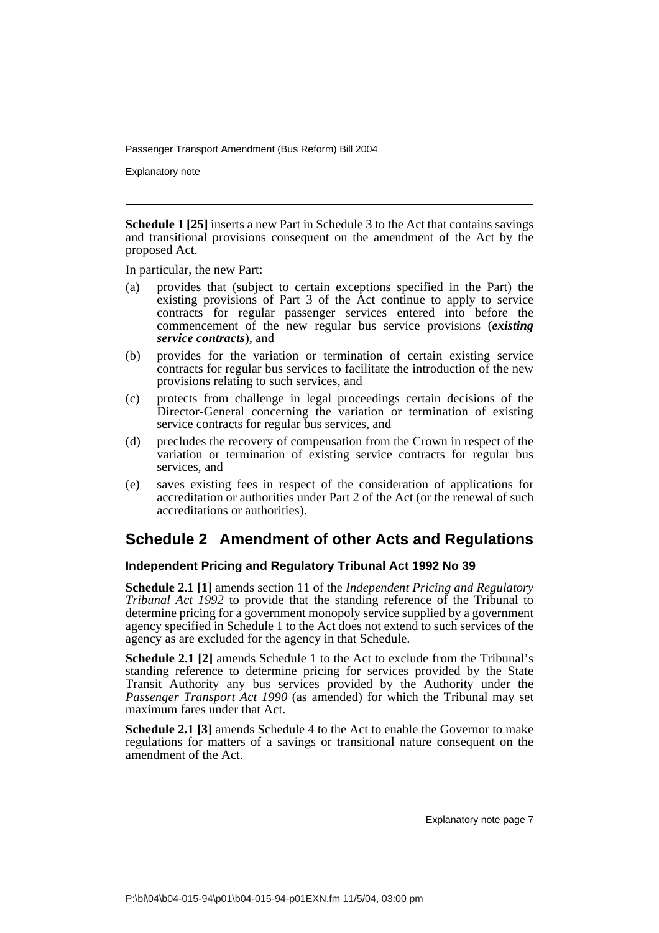Explanatory note

**Schedule 1 [25]** inserts a new Part in Schedule 3 to the Act that contains savings and transitional provisions consequent on the amendment of the Act by the proposed Act.

In particular, the new Part:

- (a) provides that (subject to certain exceptions specified in the Part) the existing provisions of Part 3 of the Act continue to apply to service contracts for regular passenger services entered into before the commencement of the new regular bus service provisions (*existing service contracts*), and
- (b) provides for the variation or termination of certain existing service contracts for regular bus services to facilitate the introduction of the new provisions relating to such services, and
- (c) protects from challenge in legal proceedings certain decisions of the Director-General concerning the variation or termination of existing service contracts for regular bus services, and
- (d) precludes the recovery of compensation from the Crown in respect of the variation or termination of existing service contracts for regular bus services, and
- (e) saves existing fees in respect of the consideration of applications for accreditation or authorities under Part 2 of the Act (or the renewal of such accreditations or authorities).

## **Schedule 2 Amendment of other Acts and Regulations**

### **Independent Pricing and Regulatory Tribunal Act 1992 No 39**

**Schedule 2.1 [1]** amends section 11 of the *Independent Pricing and Regulatory Tribunal Act 1992* to provide that the standing reference of the Tribunal to determine pricing for a government monopoly service supplied by a government agency specified in Schedule 1 to the Act does not extend to such services of the agency as are excluded for the agency in that Schedule.

**Schedule 2.1 [2]** amends Schedule 1 to the Act to exclude from the Tribunal's standing reference to determine pricing for services provided by the State Transit Authority any bus services provided by the Authority under the *Passenger Transport Act 1990* (as amended) for which the Tribunal may set maximum fares under that Act.

**Schedule 2.1 [3]** amends Schedule 4 to the Act to enable the Governor to make regulations for matters of a savings or transitional nature consequent on the amendment of the Act.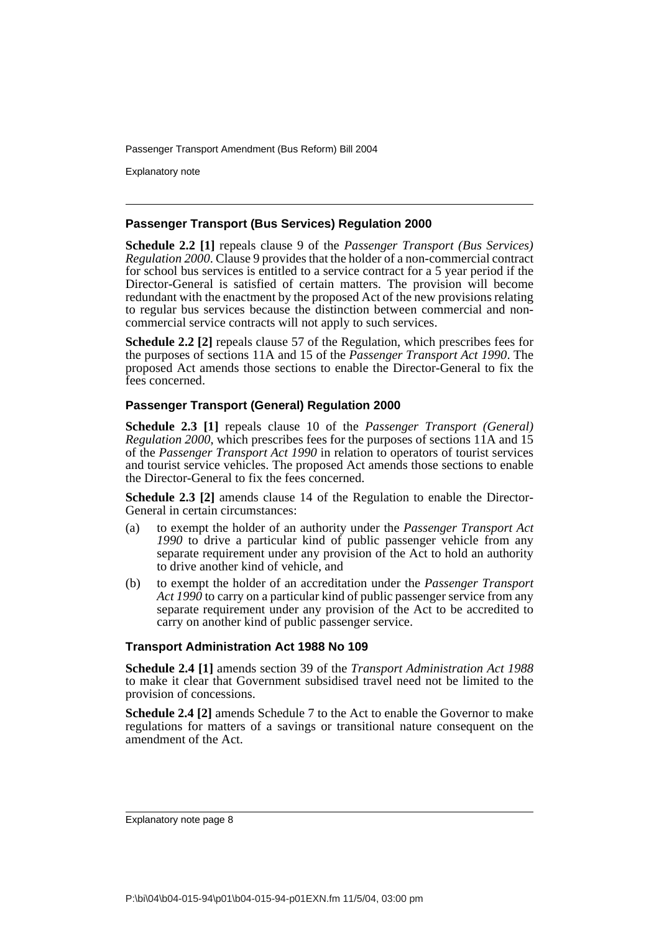Explanatory note

### **Passenger Transport (Bus Services) Regulation 2000**

**Schedule 2.2 [1]** repeals clause 9 of the *Passenger Transport (Bus Services) Regulation 2000*. Clause 9 provides that the holder of a non-commercial contract for school bus services is entitled to a service contract for a 5 year period if the Director-General is satisfied of certain matters. The provision will become redundant with the enactment by the proposed Act of the new provisions relating to regular bus services because the distinction between commercial and noncommercial service contracts will not apply to such services.

**Schedule 2.2 [2]** repeals clause 57 of the Regulation, which prescribes fees for the purposes of sections 11A and 15 of the *Passenger Transport Act 1990*. The proposed Act amends those sections to enable the Director-General to fix the fees concerned.

### **Passenger Transport (General) Regulation 2000**

**Schedule 2.3 [1]** repeals clause 10 of the *Passenger Transport (General) Regulation 2000*, which prescribes fees for the purposes of sections 11A and 15 of the *Passenger Transport Act 1990* in relation to operators of tourist services and tourist service vehicles. The proposed Act amends those sections to enable the Director-General to fix the fees concerned.

**Schedule 2.3 [2]** amends clause 14 of the Regulation to enable the Director-General in certain circumstances:

- (a) to exempt the holder of an authority under the *Passenger Transport Act 1990* to drive a particular kind of public passenger vehicle from any separate requirement under any provision of the Act to hold an authority to drive another kind of vehicle, and
- (b) to exempt the holder of an accreditation under the *Passenger Transport Act 1990* to carry on a particular kind of public passenger service from any separate requirement under any provision of the Act to be accredited to carry on another kind of public passenger service.

### **Transport Administration Act 1988 No 109**

**Schedule 2.4 [1]** amends section 39 of the *Transport Administration Act 1988* to make it clear that Government subsidised travel need not be limited to the provision of concessions.

**Schedule 2.4 [2]** amends Schedule 7 to the Act to enable the Governor to make regulations for matters of a savings or transitional nature consequent on the amendment of the Act.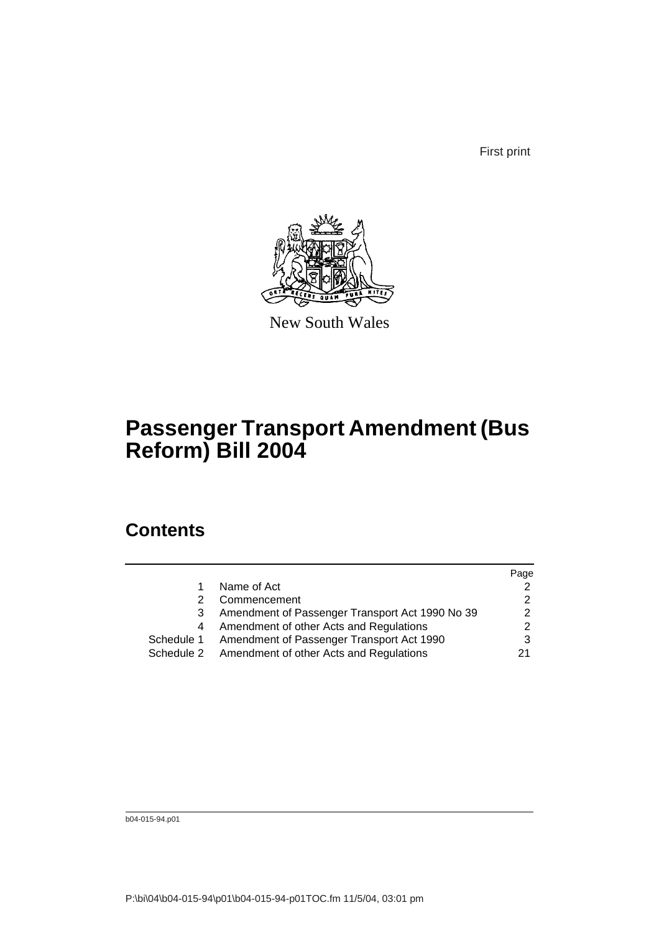First print



New South Wales

## **Passenger Transport Amendment (Bus Reform) Bill 2004**

## **Contents**

|            |                                                    | Page |
|------------|----------------------------------------------------|------|
|            | Name of Act                                        |      |
|            | Commencement                                       |      |
|            | Amendment of Passenger Transport Act 1990 No 39    | 2    |
| 4          | Amendment of other Acts and Regulations            |      |
| Schedule 1 | Amendment of Passenger Transport Act 1990          |      |
|            | Schedule 2 Amendment of other Acts and Regulations | 21   |
|            |                                                    |      |

b04-015-94.p01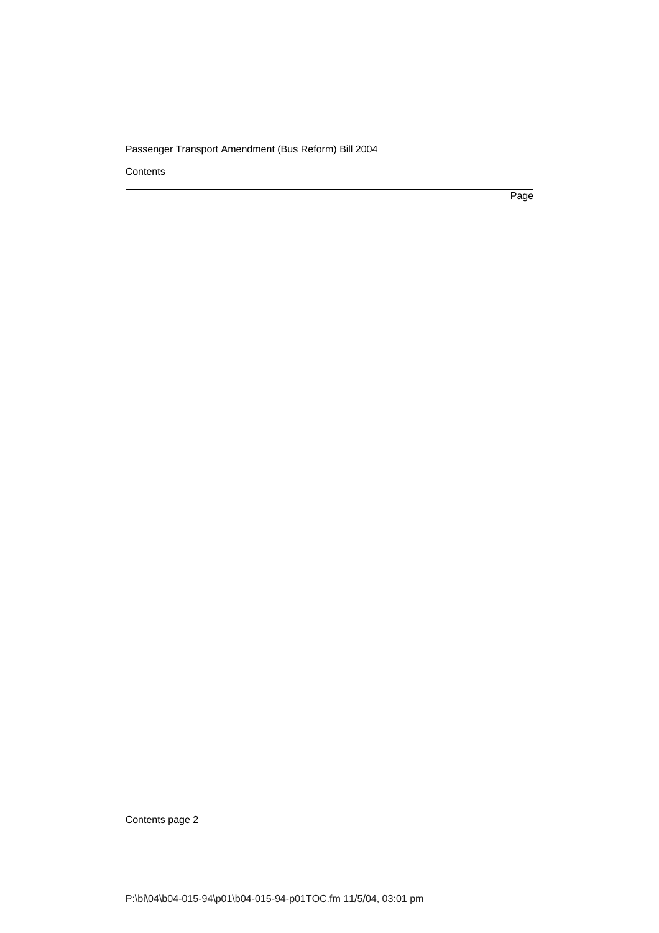**Contents** 

Page

Contents page 2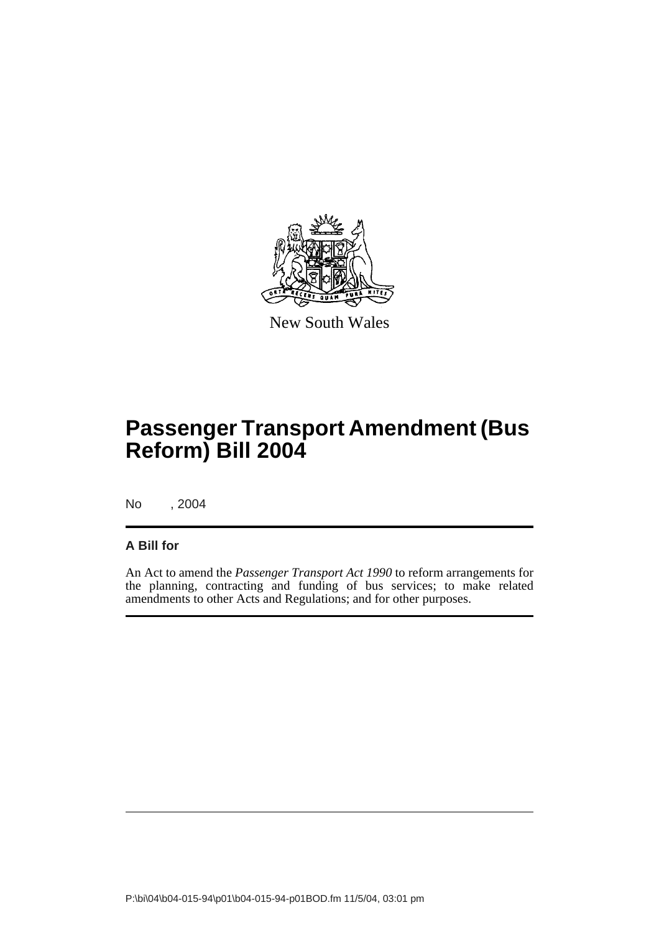

New South Wales

# **Passenger Transport Amendment (Bus Reform) Bill 2004**

No , 2004

### **A Bill for**

An Act to amend the *Passenger Transport Act 1990* to reform arrangements for the planning, contracting and funding of bus services; to make related amendments to other Acts and Regulations; and for other purposes.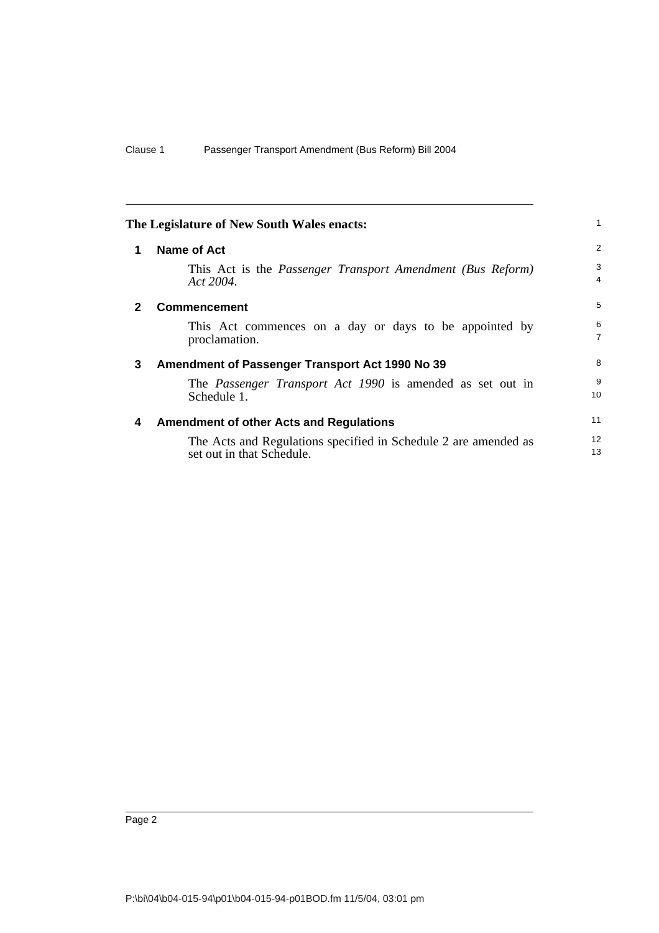<span id="page-11-3"></span><span id="page-11-2"></span><span id="page-11-1"></span><span id="page-11-0"></span>

| The Legislature of New South Wales enacts: |                                                                                              |                     |  |
|--------------------------------------------|----------------------------------------------------------------------------------------------|---------------------|--|
| 1                                          | Name of Act                                                                                  | 2                   |  |
|                                            | This Act is the <i>Passenger Transport Amendment (Bus Reform)</i><br>Act 2004.               | 3<br>4              |  |
| 2                                          | <b>Commencement</b>                                                                          | 5                   |  |
|                                            | This Act commences on a day or days to be appointed by<br>proclamation.                      | 6<br>$\overline{7}$ |  |
| 3                                          | Amendment of Passenger Transport Act 1990 No 39                                              | 8                   |  |
|                                            | The <i>Passenger Transport Act 1990</i> is amended as set out in<br>Schedule 1.              | 9<br>10             |  |
| 4                                          | <b>Amendment of other Acts and Regulations</b>                                               | 11                  |  |
|                                            | The Acts and Regulations specified in Schedule 2 are amended as<br>set out in that Schedule. | 12<br>13            |  |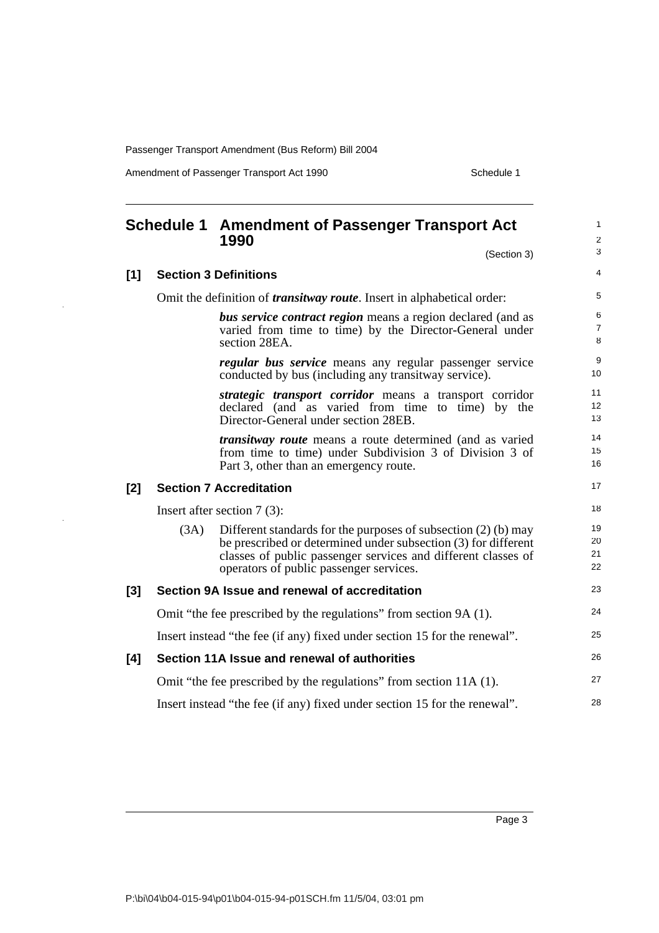Amendment of Passenger Transport Act 1990 Schedule 1

 $\overline{\phantom{a}}$ 

<span id="page-12-0"></span>

|     |      | <b>Schedule 1 Amendment of Passenger Transport Act</b><br>1990                                                                                                                                                                                 |                               |  |
|-----|------|------------------------------------------------------------------------------------------------------------------------------------------------------------------------------------------------------------------------------------------------|-------------------------------|--|
|     |      | (Section 3)                                                                                                                                                                                                                                    | 3                             |  |
| [1] |      | <b>Section 3 Definitions</b>                                                                                                                                                                                                                   | 4                             |  |
|     |      | Omit the definition of <i>transitway route</i> . Insert in alphabetical order:                                                                                                                                                                 | 5                             |  |
|     |      | <b>bus service contract region</b> means a region declared (and as<br>varied from time to time) by the Director-General under<br>section 28EA.                                                                                                 | $\,$ 6<br>$\overline{7}$<br>8 |  |
|     |      | <i>regular bus service</i> means any regular passenger service<br>conducted by bus (including any transit way service).                                                                                                                        | 9<br>10                       |  |
|     |      | strategic transport corridor means a transport corridor<br>declared (and as varied from time to time) by the<br>Director-General under section 28EB.                                                                                           | 11<br>12<br>13                |  |
|     |      | <i>transitway route</i> means a route determined (and as varied<br>from time to time) under Subdivision 3 of Division 3 of<br>Part 3, other than an emergency route.                                                                           | 14<br>15<br>16                |  |
| [2] |      | <b>Section 7 Accreditation</b>                                                                                                                                                                                                                 | 17                            |  |
|     |      | Insert after section $7(3)$ :                                                                                                                                                                                                                  | 18                            |  |
|     | (3A) | Different standards for the purposes of subsection $(2)$ (b) may<br>be prescribed or determined under subsection (3) for different<br>classes of public passenger services and different classes of<br>operators of public passenger services. | 19<br>20<br>21<br>22          |  |
| [3] |      | Section 9A Issue and renewal of accreditation                                                                                                                                                                                                  | 23                            |  |
|     |      | Omit "the fee prescribed by the regulations" from section 9A (1).                                                                                                                                                                              | 24                            |  |
|     |      | Insert instead "the fee (if any) fixed under section 15 for the renewal".                                                                                                                                                                      | 25                            |  |
| [4] |      | Section 11A Issue and renewal of authorities                                                                                                                                                                                                   | 26                            |  |
|     |      | Omit "the fee prescribed by the regulations" from section 11A (1).                                                                                                                                                                             | 27                            |  |
|     |      | Insert instead "the fee (if any) fixed under section 15 for the renewal".                                                                                                                                                                      | 28                            |  |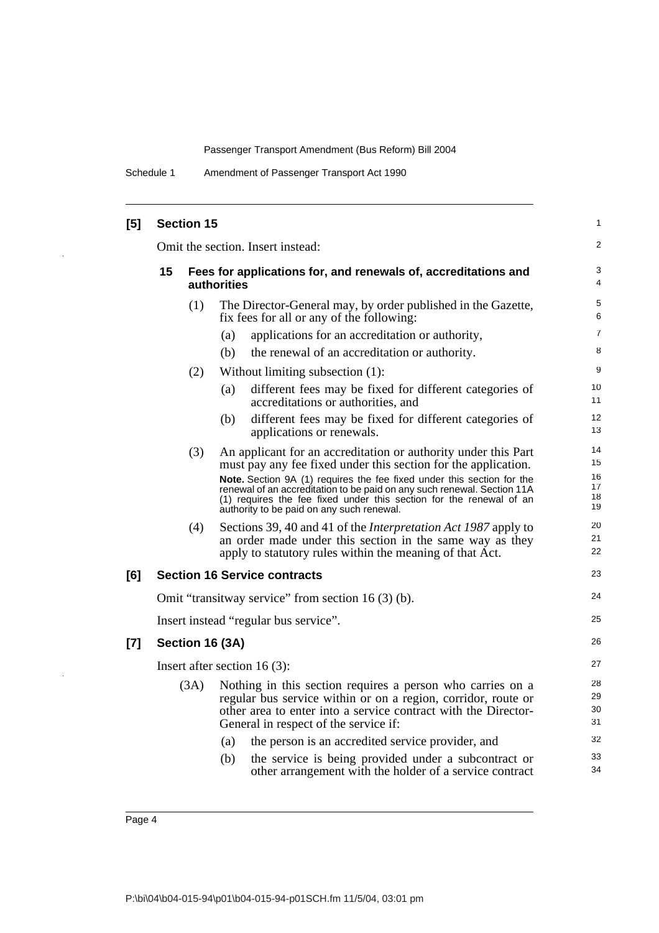Schedule 1 Amendment of Passenger Transport Act 1990

| [5]   |    | <b>Section 15</b> |                                                                                                                                                                                                                                                                       | 1                    |
|-------|----|-------------------|-----------------------------------------------------------------------------------------------------------------------------------------------------------------------------------------------------------------------------------------------------------------------|----------------------|
|       |    |                   | Omit the section. Insert instead:                                                                                                                                                                                                                                     | 2                    |
|       | 15 |                   | Fees for applications for, and renewals of, accreditations and<br><b>authorities</b>                                                                                                                                                                                  | 3<br>4               |
|       |    | (1)               | The Director-General may, by order published in the Gazette,<br>fix fees for all or any of the following:                                                                                                                                                             | 5<br>6               |
|       |    |                   | applications for an accreditation or authority,<br>(a)                                                                                                                                                                                                                | $\overline{7}$       |
|       |    |                   | the renewal of an accreditation or authority.<br>(b)                                                                                                                                                                                                                  | 8                    |
|       |    | (2)               | Without limiting subsection (1):                                                                                                                                                                                                                                      | 9                    |
|       |    |                   | different fees may be fixed for different categories of<br>(a)<br>accreditations or authorities, and                                                                                                                                                                  | 10<br>11             |
|       |    |                   | different fees may be fixed for different categories of<br>(b)<br>applications or renewals.                                                                                                                                                                           | 12<br>13             |
|       |    | (3)               | An applicant for an accreditation or authority under this Part<br>must pay any fee fixed under this section for the application.                                                                                                                                      | 14<br>15             |
|       |    |                   | Note. Section 9A (1) requires the fee fixed under this section for the<br>renewal of an accreditation to be paid on any such renewal. Section 11A<br>(1) requires the fee fixed under this section for the renewal of an<br>authority to be paid on any such renewal. | 16<br>17<br>18<br>19 |
|       |    | (4)               | Sections 39, 40 and 41 of the <i>Interpretation Act 1987</i> apply to<br>an order made under this section in the same way as they<br>apply to statutory rules within the meaning of that Act.                                                                         | 20<br>21<br>22       |
| [6]   |    |                   | <b>Section 16 Service contracts</b>                                                                                                                                                                                                                                   | 23                   |
|       |    |                   | Omit "transitway service" from section $16(3)$ (b).                                                                                                                                                                                                                   | 24                   |
|       |    |                   | Insert instead "regular bus service".                                                                                                                                                                                                                                 | 25                   |
| $[7]$ |    |                   | Section 16 (3A)                                                                                                                                                                                                                                                       | 26                   |
|       |    |                   | Insert after section 16 $(3)$ :                                                                                                                                                                                                                                       | 27                   |
|       |    | (3A)              | Nothing in this section requires a person who carries on a<br>regular bus service within or on a region, corridor, route or<br>other area to enter into a service contract with the Director-<br>General in respect of the service if:                                | 28<br>29<br>30<br>31 |
|       |    |                   | the person is an accredited service provider, and<br>(a)                                                                                                                                                                                                              | 32                   |
|       |    |                   | the service is being provided under a subcontract or<br>(b)<br>other arrangement with the holder of a service contract                                                                                                                                                | 33<br>34             |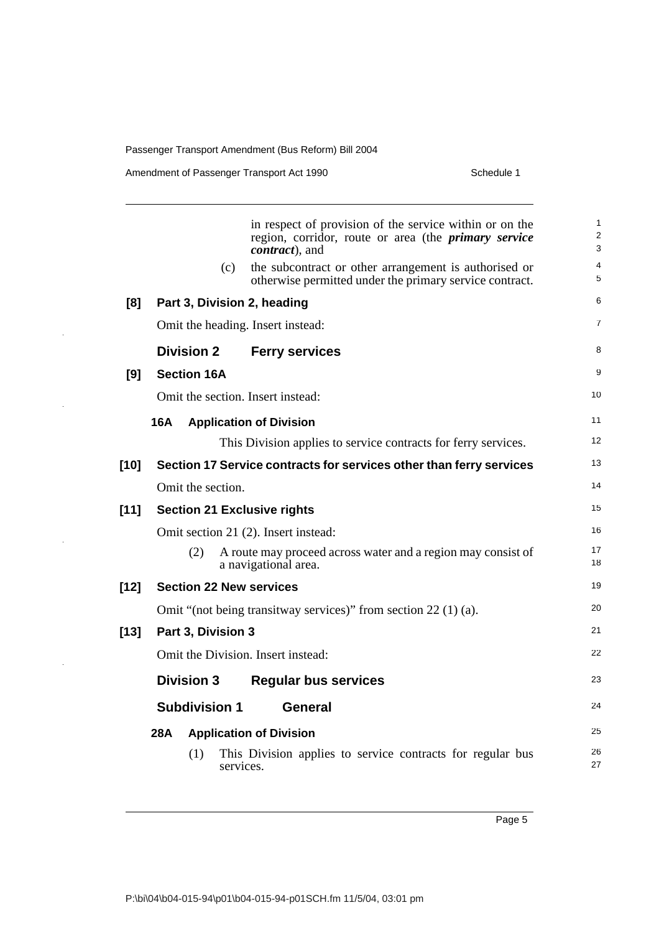$\ddot{\phantom{1}}$ 

 $\overline{\phantom{a}}$ 

|        |     |                      |           | in respect of provision of the service within or on the<br>region, corridor, route or area (the <i>primary service</i><br><i>contract</i> ), and | $\mathbf{1}$<br>2<br>3 |
|--------|-----|----------------------|-----------|--------------------------------------------------------------------------------------------------------------------------------------------------|------------------------|
|        |     |                      | (c)       | the subcontract or other arrangement is authorised or<br>otherwise permitted under the primary service contract.                                 | 4<br>5                 |
| [8]    |     |                      |           | Part 3, Division 2, heading                                                                                                                      | 6                      |
|        |     |                      |           | Omit the heading. Insert instead:                                                                                                                | $\overline{7}$         |
|        |     | <b>Division 2</b>    |           | <b>Ferry services</b>                                                                                                                            | 8                      |
| [9]    |     | <b>Section 16A</b>   |           |                                                                                                                                                  | 9                      |
|        |     |                      |           | Omit the section. Insert instead:                                                                                                                | 10                     |
|        | 16A |                      |           | <b>Application of Division</b>                                                                                                                   | 11                     |
|        |     |                      |           | This Division applies to service contracts for ferry services.                                                                                   | 12                     |
| $[10]$ |     |                      |           | Section 17 Service contracts for services other than ferry services                                                                              | 13                     |
|        |     | Omit the section.    |           |                                                                                                                                                  | 14                     |
| $[11]$ |     |                      |           | <b>Section 21 Exclusive rights</b>                                                                                                               | 15                     |
|        |     |                      |           | Omit section 21 (2). Insert instead:                                                                                                             | 16                     |
|        |     | (2)                  |           | A route may proceed across water and a region may consist of<br>a navigational area.                                                             | 17<br>18               |
| $[12]$ |     |                      |           | <b>Section 22 New services</b>                                                                                                                   | 19                     |
|        |     |                      |           | Omit "(not being transitway services)" from section 22 (1) (a).                                                                                  | 20                     |
| $[13]$ |     | Part 3, Division 3   |           |                                                                                                                                                  | 21                     |
|        |     |                      |           | Omit the Division. Insert instead:                                                                                                               | 22                     |
|        |     | <b>Division 3</b>    |           | <b>Regular bus services</b>                                                                                                                      | 23                     |
|        |     | <b>Subdivision 1</b> |           | General                                                                                                                                          | 24                     |
|        | 28A |                      |           | <b>Application of Division</b>                                                                                                                   | 25                     |
|        |     | (1)                  | services. | This Division applies to service contracts for regular bus                                                                                       | 26<br>27               |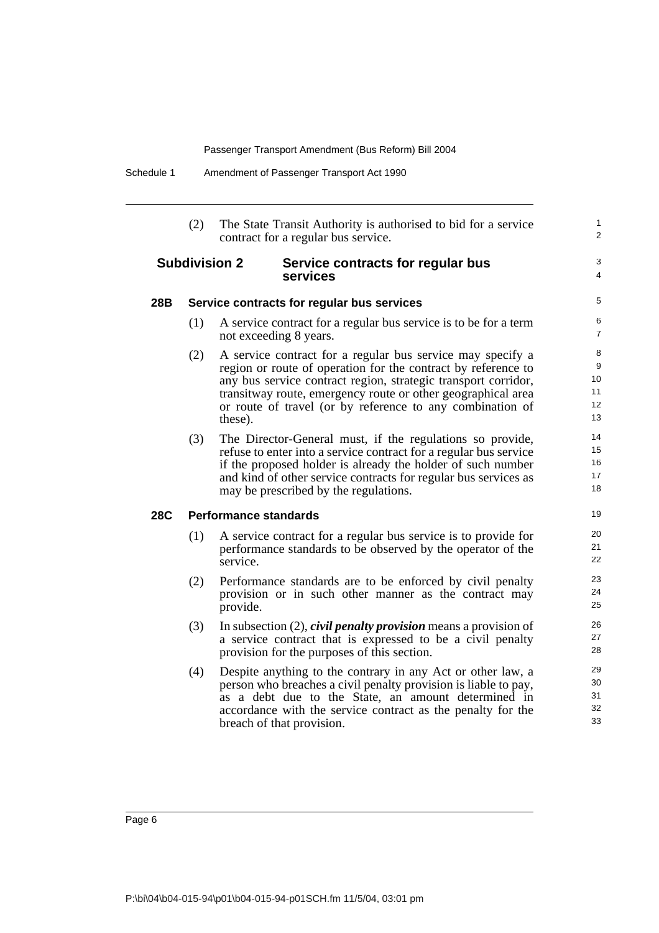(2) The State Transit Authority is authorised to bid for a service contract for a regular bus service.

### **Subdivision 2 Service contracts for regular bus services**

3 4

1  $\overline{2}$ 

#### **28B Service contracts for regular bus services**

- (1) A service contract for a regular bus service is to be for a term not exceeding 8 years.
- (2) A service contract for a regular bus service may specify a region or route of operation for the contract by reference to any bus service contract region, strategic transport corridor, transitway route, emergency route or other geographical area or route of travel (or by reference to any combination of these).
- (3) The Director-General must, if the regulations so provide, refuse to enter into a service contract for a regular bus service if the proposed holder is already the holder of such number and kind of other service contracts for regular bus services as may be prescribed by the regulations.

### **28C Performance standards**

- (1) A service contract for a regular bus service is to provide for performance standards to be observed by the operator of the service.
- (2) Performance standards are to be enforced by civil penalty provision or in such other manner as the contract may provide.
- (3) In subsection (2), *civil penalty provision* means a provision of a service contract that is expressed to be a civil penalty provision for the purposes of this section.
- (4) Despite anything to the contrary in any Act or other law, a person who breaches a civil penalty provision is liable to pay, as a debt due to the State, an amount determined in accordance with the service contract as the penalty for the breach of that provision.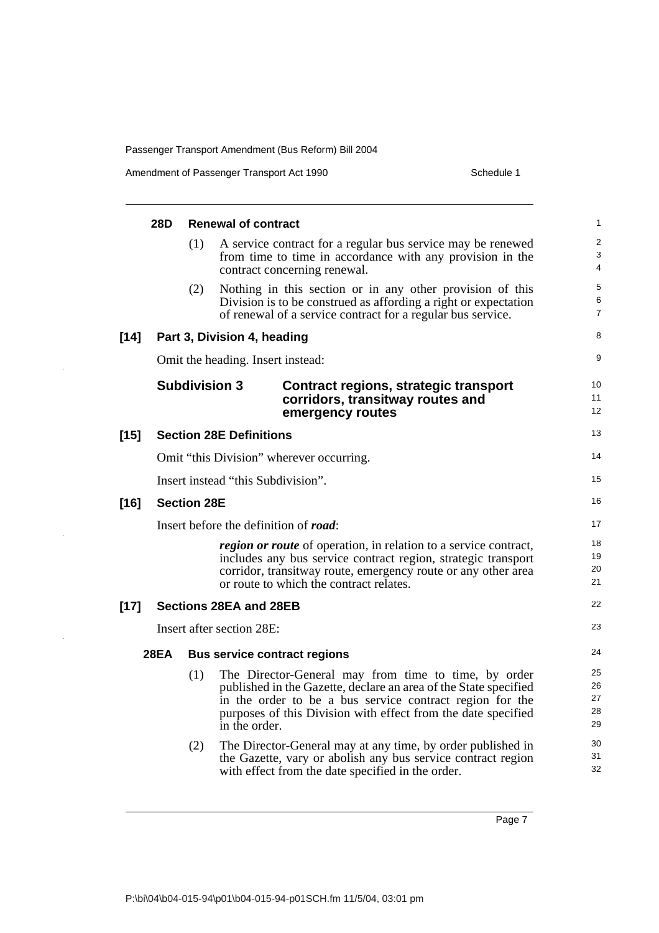$\bar{z}$ 

 $\hat{\mathcal{F}}$ 

 $\hat{\mathcal{A}}$ 

|        | 28D         |                    | <b>Renewal of contract</b>                                                                                                                                                                                                                                             | 1                                 |
|--------|-------------|--------------------|------------------------------------------------------------------------------------------------------------------------------------------------------------------------------------------------------------------------------------------------------------------------|-----------------------------------|
|        |             | (1)                | A service contract for a regular bus service may be renewed<br>from time to time in accordance with any provision in the<br>contract concerning renewal.                                                                                                               | $\overline{\mathbf{c}}$<br>3<br>4 |
|        |             | (2)                | Nothing in this section or in any other provision of this<br>Division is to be construed as affording a right or expectation<br>of renewal of a service contract for a regular bus service.                                                                            | 5<br>6<br>7                       |
| $[14]$ |             |                    | Part 3, Division 4, heading                                                                                                                                                                                                                                            | 8                                 |
|        |             |                    | Omit the heading. Insert instead:                                                                                                                                                                                                                                      | 9                                 |
|        |             |                    | <b>Subdivision 3</b><br>Contract regions, strategic transport<br>corridors, transitway routes and<br>emergency routes                                                                                                                                                  | 10<br>11<br>12                    |
| $[15]$ |             |                    | <b>Section 28E Definitions</b>                                                                                                                                                                                                                                         | 13                                |
|        |             |                    | Omit "this Division" wherever occurring.                                                                                                                                                                                                                               | 14                                |
|        |             |                    | Insert instead "this Subdivision".                                                                                                                                                                                                                                     | 15                                |
| $[16]$ |             | <b>Section 28E</b> |                                                                                                                                                                                                                                                                        | 16                                |
|        |             |                    | Insert before the definition of road:                                                                                                                                                                                                                                  | 17                                |
|        |             |                    | <i>region or route</i> of operation, in relation to a service contract,<br>includes any bus service contract region, strategic transport<br>corridor, transitway route, emergency route or any other area<br>or route to which the contract relates.                   | 18<br>19<br>20<br>21              |
| $[17]$ |             |                    | <b>Sections 28EA and 28EB</b>                                                                                                                                                                                                                                          | 22                                |
|        |             |                    | Insert after section 28E:                                                                                                                                                                                                                                              | 23                                |
|        | <b>28EA</b> |                    | <b>Bus service contract regions</b>                                                                                                                                                                                                                                    | 24                                |
|        |             | (1)                | The Director-General may from time to time, by order<br>published in the Gazette, declare an area of the State specified<br>in the order to be a bus service contract region for the<br>purposes of this Division with effect from the date specified<br>in the order. | 25<br>26<br>27<br>28<br>29        |
|        |             | (2)                | The Director-General may at any time, by order published in<br>the Gazette, vary or abolish any bus service contract region<br>with effect from the date specified in the order.                                                                                       | 30<br>31<br>32                    |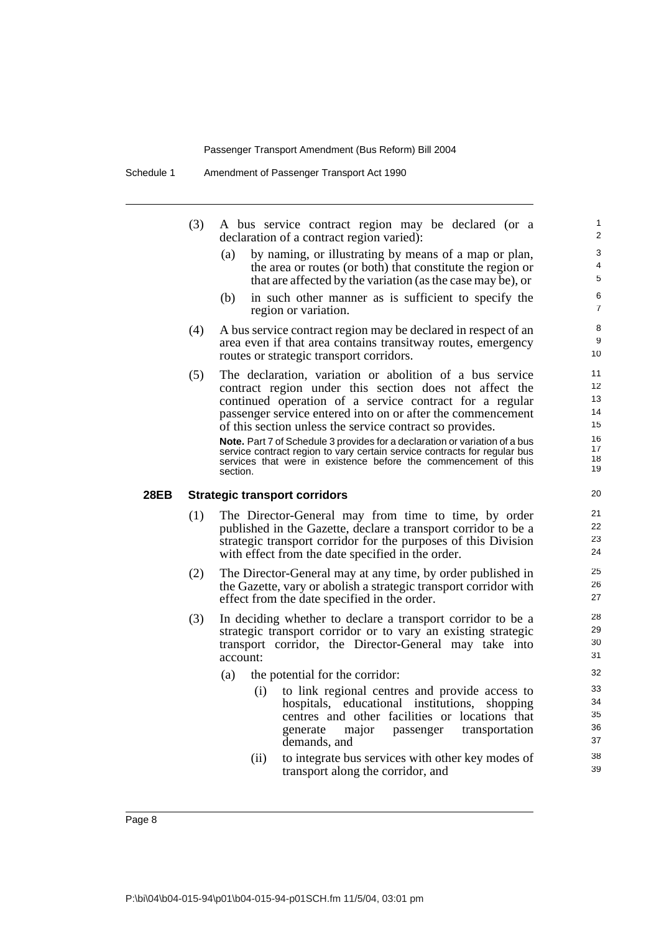- (3) A bus service contract region may be declared (or a declaration of a contract region varied):
	- (a) by naming, or illustrating by means of a map or plan, the area or routes (or both) that constitute the region or that are affected by the variation (as the case may be), or

- (b) in such other manner as is sufficient to specify the region or variation.
- (4) A bus service contract region may be declared in respect of an area even if that area contains transitway routes, emergency routes or strategic transport corridors.
- (5) The declaration, variation or abolition of a bus service contract region under this section does not affect the continued operation of a service contract for a regular passenger service entered into on or after the commencement of this section unless the service contract so provides. **Note.** Part 7 of Schedule 3 provides for a declaration or variation of a bus

service contract region to vary certain service contracts for regular bus services that were in existence before the commencement of this section.

#### **28EB Strategic transport corridors**

- (1) The Director-General may from time to time, by order published in the Gazette, declare a transport corridor to be a strategic transport corridor for the purposes of this Division with effect from the date specified in the order.
- (2) The Director-General may at any time, by order published in the Gazette, vary or abolish a strategic transport corridor with effect from the date specified in the order.
- (3) In deciding whether to declare a transport corridor to be a strategic transport corridor or to vary an existing strategic transport corridor, the Director-General may take into account:
	- (a) the potential for the corridor:
		- (i) to link regional centres and provide access to hospitals, educational institutions, shopping centres and other facilities or locations that generate major passenger transportation demands, and
		- (ii) to integrate bus services with other key modes of transport along the corridor, and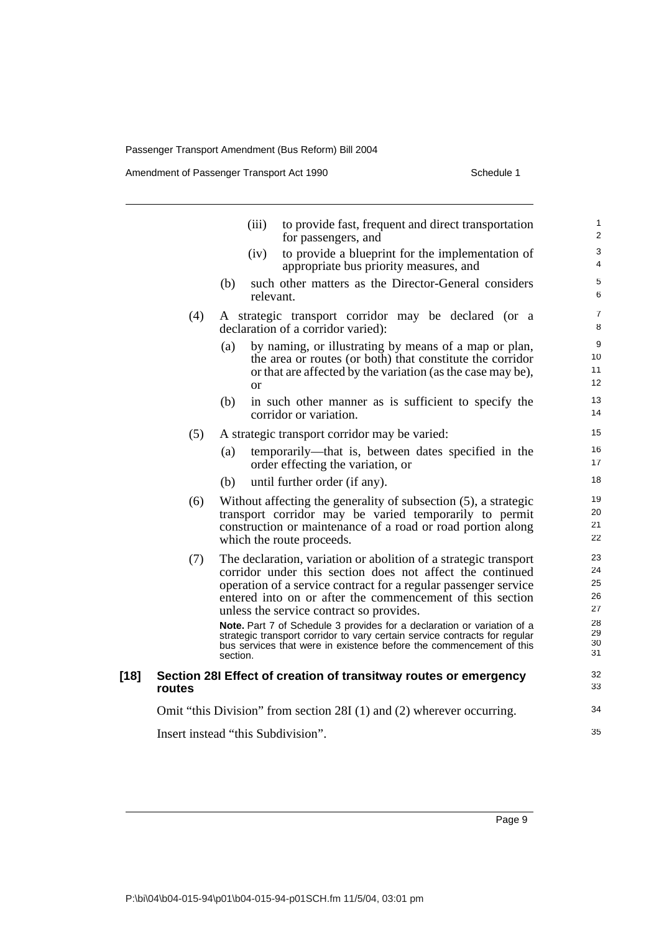Amendment of Passenger Transport Act 1990 Schedule 1

|        |        | (iii)<br>to provide fast, frequent and direct transportation<br>for passengers, and                                                                                                                                                                                                                                                                                                                                                                                                                                                                   | 1<br>2                                             |
|--------|--------|-------------------------------------------------------------------------------------------------------------------------------------------------------------------------------------------------------------------------------------------------------------------------------------------------------------------------------------------------------------------------------------------------------------------------------------------------------------------------------------------------------------------------------------------------------|----------------------------------------------------|
|        |        | to provide a blueprint for the implementation of<br>(iv)<br>appropriate bus priority measures, and                                                                                                                                                                                                                                                                                                                                                                                                                                                    | 3<br>4                                             |
|        |        | such other matters as the Director-General considers<br>(b)<br>relevant.                                                                                                                                                                                                                                                                                                                                                                                                                                                                              | 5<br>6                                             |
|        | (4)    | A strategic transport corridor may be declared (or a<br>declaration of a corridor varied):                                                                                                                                                                                                                                                                                                                                                                                                                                                            | $\overline{7}$<br>8                                |
|        |        | by naming, or illustrating by means of a map or plan,<br>(a)<br>the area or routes (or both) that constitute the corridor<br>or that are affected by the variation (as the case may be),<br>or                                                                                                                                                                                                                                                                                                                                                        | 9<br>10<br>11<br>12                                |
|        |        | in such other manner as is sufficient to specify the<br>(b)<br>corridor or variation.                                                                                                                                                                                                                                                                                                                                                                                                                                                                 | 13<br>14                                           |
|        | (5)    | A strategic transport corridor may be varied:                                                                                                                                                                                                                                                                                                                                                                                                                                                                                                         | 15                                                 |
|        |        | temporarily—that is, between dates specified in the<br>(a)<br>order effecting the variation, or                                                                                                                                                                                                                                                                                                                                                                                                                                                       | 16<br>17                                           |
|        |        | until further order (if any).<br>(b)                                                                                                                                                                                                                                                                                                                                                                                                                                                                                                                  | 18                                                 |
|        | (6)    | Without affecting the generality of subsection (5), a strategic<br>transport corridor may be varied temporarily to permit<br>construction or maintenance of a road or road portion along<br>which the route proceeds.                                                                                                                                                                                                                                                                                                                                 | 19<br>20<br>21<br>22                               |
|        | (7)    | The declaration, variation or abolition of a strategic transport<br>corridor under this section does not affect the continued<br>operation of a service contract for a regular passenger service<br>entered into on or after the commencement of this section<br>unless the service contract so provides.<br>Note. Part 7 of Schedule 3 provides for a declaration or variation of a<br>strategic transport corridor to vary certain service contracts for regular<br>bus services that were in existence before the commencement of this<br>section. | 23<br>24<br>25<br>26<br>27<br>28<br>29<br>30<br>31 |
| $[18]$ | routes | Section 28I Effect of creation of transitway routes or emergency                                                                                                                                                                                                                                                                                                                                                                                                                                                                                      | 32<br>33                                           |
|        |        | Omit "this Division" from section 28I (1) and (2) wherever occurring.                                                                                                                                                                                                                                                                                                                                                                                                                                                                                 | 34                                                 |
|        |        | Insert instead "this Subdivision".                                                                                                                                                                                                                                                                                                                                                                                                                                                                                                                    | 35                                                 |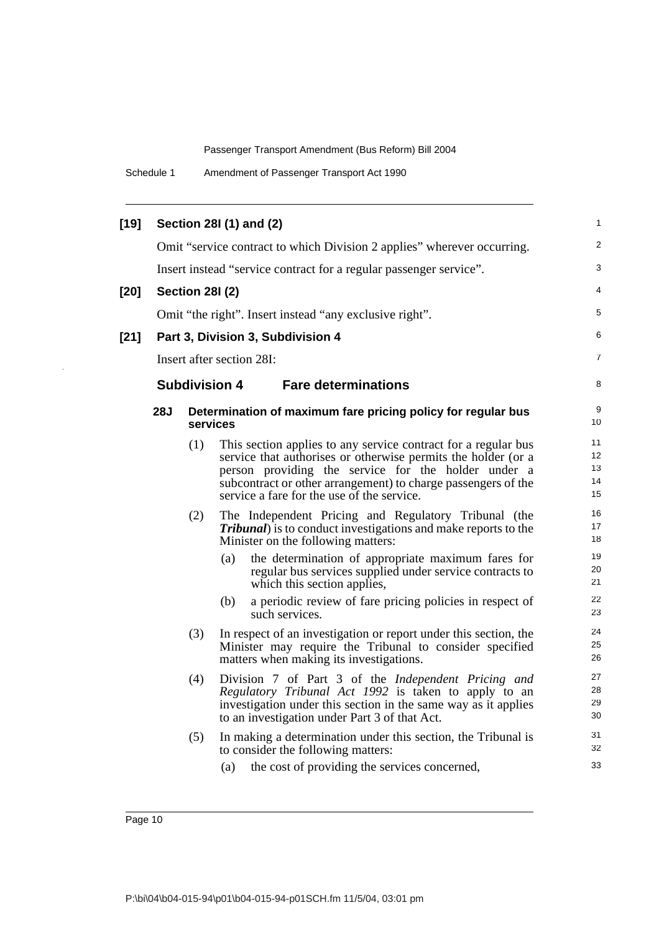Schedule 1 Amendment of Passenger Transport Act 1990

| $[19]$ |            |                        | Section 28I (1) and (2)                                                                                                                                                                                                                                                                               | 1                          |
|--------|------------|------------------------|-------------------------------------------------------------------------------------------------------------------------------------------------------------------------------------------------------------------------------------------------------------------------------------------------------|----------------------------|
|        |            |                        | Omit "service contract to which Division 2 applies" wherever occurring.                                                                                                                                                                                                                               | $\overline{2}$             |
|        |            |                        | Insert instead "service contract for a regular passenger service".                                                                                                                                                                                                                                    | 3                          |
| $[20]$ |            | <b>Section 281 (2)</b> |                                                                                                                                                                                                                                                                                                       | 4                          |
|        |            |                        | Omit "the right". Insert instead "any exclusive right".                                                                                                                                                                                                                                               | 5                          |
| $[21]$ |            |                        | Part 3, Division 3, Subdivision 4                                                                                                                                                                                                                                                                     | 6                          |
|        |            |                        | Insert after section 28I:                                                                                                                                                                                                                                                                             | 7                          |
|        |            |                        | <b>Subdivision 4</b><br><b>Fare determinations</b>                                                                                                                                                                                                                                                    | 8                          |
|        | <b>28J</b> |                        | Determination of maximum fare pricing policy for regular bus<br>services                                                                                                                                                                                                                              | 9<br>10                    |
|        |            | (1)                    | This section applies to any service contract for a regular bus<br>service that authorises or otherwise permits the holder (or a<br>person providing the service for the holder under a<br>subcontract or other arrangement) to charge passengers of the<br>service a fare for the use of the service. | 11<br>12<br>13<br>14<br>15 |
|        |            | (2)                    | The Independent Pricing and Regulatory Tribunal (the<br><b>Tribunal</b> ) is to conduct investigations and make reports to the<br>Minister on the following matters:                                                                                                                                  | 16<br>17<br>18             |
|        |            |                        | (a)<br>the determination of appropriate maximum fares for<br>regular bus services supplied under service contracts to<br>which this section applies,                                                                                                                                                  | 19<br>20<br>21             |
|        |            |                        | a periodic review of fare pricing policies in respect of<br>(b)<br>such services.                                                                                                                                                                                                                     | 22<br>23                   |
|        |            | (3)                    | In respect of an investigation or report under this section, the<br>Minister may require the Tribunal to consider specified<br>matters when making its investigations.                                                                                                                                | 24<br>25<br>26             |
|        |            | (4)                    | Division 7 of Part 3 of the <i>Independent Pricing and</i><br>Regulatory Tribunal Act 1992 is taken to apply to an<br>investigation under this section in the same way as it applies<br>to an investigation under Part 3 of that Act.                                                                 | 27<br>28<br>29<br>30       |
|        |            | (5)                    | In making a determination under this section, the Tribunal is<br>to consider the following matters:                                                                                                                                                                                                   | 31<br>32                   |
|        |            |                        | the cost of providing the services concerned,<br>(a)                                                                                                                                                                                                                                                  | 33                         |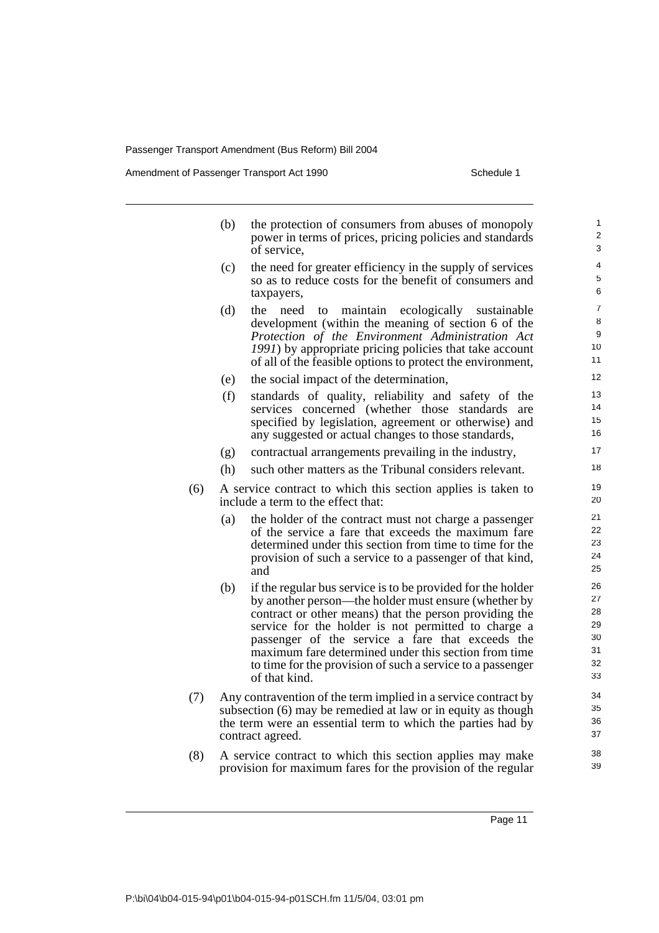Amendment of Passenger Transport Act 1990 Schedule 1

|     | (b)                                                                                                                                                                                                               | the protection of consumers from abuses of monopoly<br>power in terms of prices, pricing policies and standards                                                                                                                                                                                                                                                                                                                 | 1<br>2<br>3                                  |  |  |  |
|-----|-------------------------------------------------------------------------------------------------------------------------------------------------------------------------------------------------------------------|---------------------------------------------------------------------------------------------------------------------------------------------------------------------------------------------------------------------------------------------------------------------------------------------------------------------------------------------------------------------------------------------------------------------------------|----------------------------------------------|--|--|--|
|     | (c)                                                                                                                                                                                                               | of service,<br>the need for greater efficiency in the supply of services<br>so as to reduce costs for the benefit of consumers and<br>taxpayers,                                                                                                                                                                                                                                                                                | 4<br>5<br>6                                  |  |  |  |
|     | (d)                                                                                                                                                                                                               | maintain<br>ecologically<br>the<br>need<br>to<br>sustainable<br>development (within the meaning of section 6 of the<br>Protection of the Environment Administration Act<br>1991) by appropriate pricing policies that take account<br>of all of the feasible options to protect the environment,                                                                                                                                | $\overline{7}$<br>8<br>9<br>10<br>11         |  |  |  |
|     | (e)                                                                                                                                                                                                               | the social impact of the determination,                                                                                                                                                                                                                                                                                                                                                                                         | 12                                           |  |  |  |
|     | (f)                                                                                                                                                                                                               | standards of quality, reliability and safety of the<br>services concerned (whether those standards<br>are<br>specified by legislation, agreement or otherwise) and<br>any suggested or actual changes to those standards,                                                                                                                                                                                                       | 13<br>14<br>15<br>16                         |  |  |  |
|     | (g)                                                                                                                                                                                                               | contractual arrangements prevailing in the industry,                                                                                                                                                                                                                                                                                                                                                                            | 17                                           |  |  |  |
|     | (h)                                                                                                                                                                                                               | such other matters as the Tribunal considers relevant.                                                                                                                                                                                                                                                                                                                                                                          | 18                                           |  |  |  |
| (6) |                                                                                                                                                                                                                   | A service contract to which this section applies is taken to<br>include a term to the effect that:                                                                                                                                                                                                                                                                                                                              | 19<br>20                                     |  |  |  |
|     | (a)                                                                                                                                                                                                               | the holder of the contract must not charge a passenger<br>of the service a fare that exceeds the maximum fare<br>determined under this section from time to time for the<br>provision of such a service to a passenger of that kind,<br>and                                                                                                                                                                                     | 21<br>22<br>23<br>24<br>25                   |  |  |  |
|     | (b)                                                                                                                                                                                                               | if the regular bus service is to be provided for the holder<br>by another person—the holder must ensure (whether by<br>contract or other means) that the person providing the<br>service for the holder is not permitted to charge a<br>passenger of the service a fare that exceeds the<br>maximum fare determined under this section from time<br>to time for the provision of such a service to a passenger<br>of that kind. | 26<br>27<br>28<br>29<br>30<br>31<br>32<br>33 |  |  |  |
| (7) | Any contravention of the term implied in a service contract by<br>subsection (6) may be remedied at law or in equity as though<br>the term were an essential term to which the parties had by<br>contract agreed. |                                                                                                                                                                                                                                                                                                                                                                                                                                 |                                              |  |  |  |
| (8) |                                                                                                                                                                                                                   | A service contract to which this section annlies may make                                                                                                                                                                                                                                                                                                                                                                       | 38                                           |  |  |  |

(8) A service contract to which this section applies may make provision for maximum fares for the provision of the regular

Page 11

39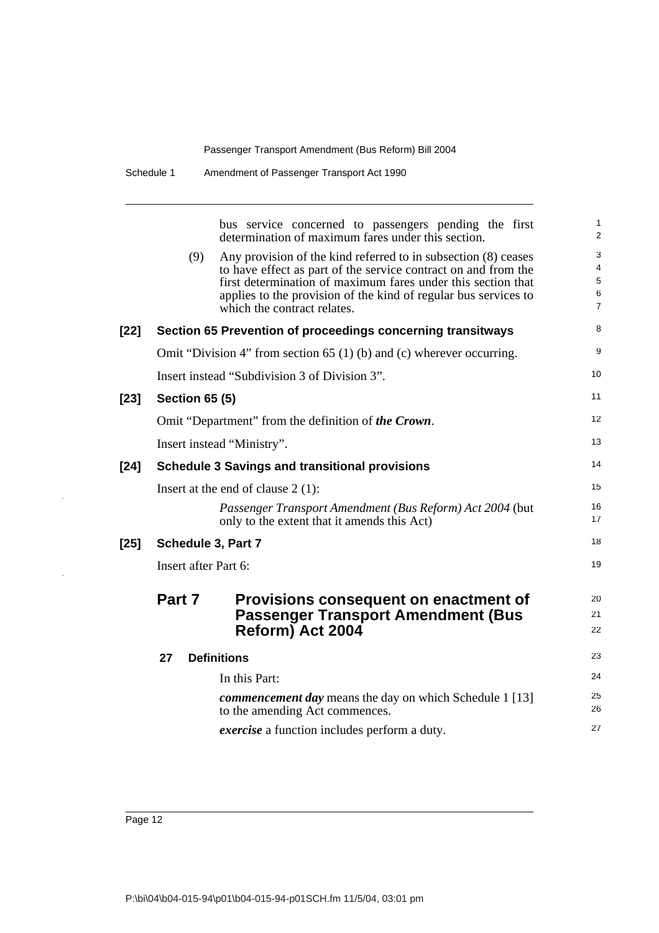| Schedule 1 | Amendment of Passenger Transport Act 1990 |  |
|------------|-------------------------------------------|--|
|            |                                           |  |

bus service concerned to passengers pending the first determination of maximum fares under this section. (9) Any provision of the kind referred to in subsection (8) ceases to have effect as part of the service contract on and from the first determination of maximum fares under this section that applies to the provision of the kind of regular bus services to which the contract relates. **[22] Section 65 Prevention of proceedings concerning transitways** Omit "Division 4" from section 65 (1) (b) and (c) wherever occurring. Insert instead "Subdivision 3 of Division 3". **[23] Section 65 (5)** Omit "Department" from the definition of *the Crown*. Insert instead "Ministry". **[24] Schedule 3 Savings and transitional provisions** Insert at the end of clause 2 (1): *Passenger Transport Amendment (Bus Reform) Act 2004* (but only to the extent that it amends this Act) **[25] Schedule 3, Part 7** Insert after Part 6: **Part 7 Provisions consequent on enactment of Passenger Transport Amendment (Bus Reform) Act 2004 27 Definitions** In this Part: *commencement day* means the day on which Schedule 1 [13] to the amending Act commences. *exercise* a function includes perform a duty. 1  $\overline{2}$ 3 4 5 6 7 8 9 10 11 12 13 14 15 16 17 18 19 20 21 22 23 24 25 26 27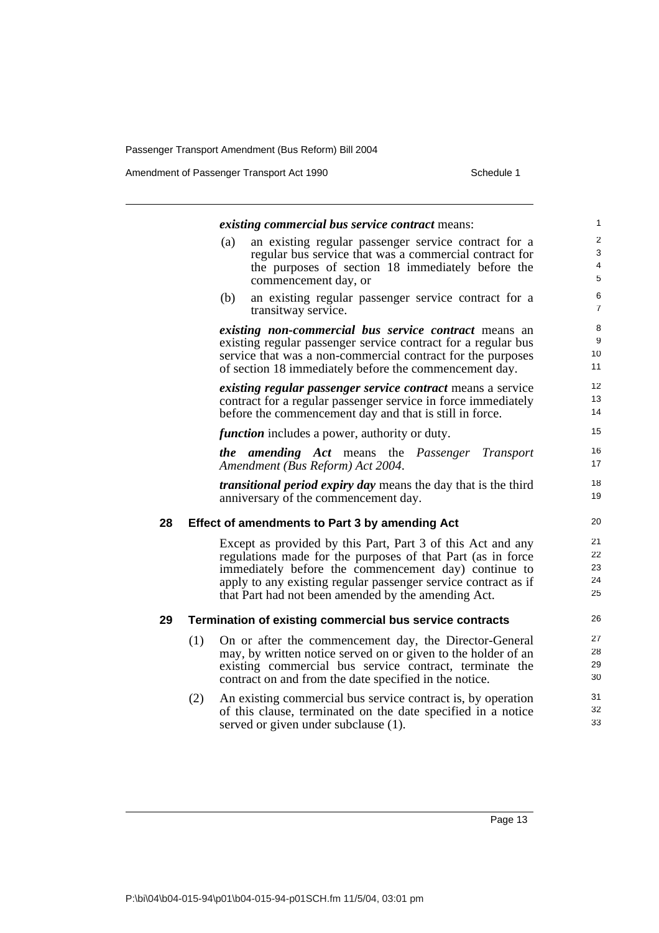Amendment of Passenger Transport Act 1990 Schedule 1

*existing commercial bus service contract* means: (a) an existing regular passenger service contract for a regular bus service that was a commercial contract for the purposes of section 18 immediately before the commencement day, or (b) an existing regular passenger service contract for a transitway service. *existing non-commercial bus service contract* means an existing regular passenger service contract for a regular bus service that was a non-commercial contract for the purposes of section 18 immediately before the commencement day. *existing regular passenger service contract* means a service contract for a regular passenger service in force immediately before the commencement day and that is still in force. *function* includes a power, authority or duty. *the amending Act* means the *Passenger Transport Amendment (Bus Reform) Act 2004*. *transitional period expiry day* means the day that is the third anniversary of the commencement day. **28 Effect of amendments to Part 3 by amending Act** Except as provided by this Part, Part 3 of this Act and any regulations made for the purposes of that Part (as in force immediately before the commencement day) continue to apply to any existing regular passenger service contract as if that Part had not been amended by the amending Act. **29 Termination of existing commercial bus service contracts** (1) On or after the commencement day, the Director-General may, by written notice served on or given to the holder of an existing commercial bus service contract, terminate the contract on and from the date specified in the notice. (2) An existing commercial bus service contract is, by operation of this clause, terminated on the date specified in a notice served or given under subclause (1). 1  $\mathfrak{p}$ 3 4 5 6 7 8 9 10 11 12 13 14 15 16 17 18 19 20 21 22 23 24 25 26 27 28 29 30 31 32 33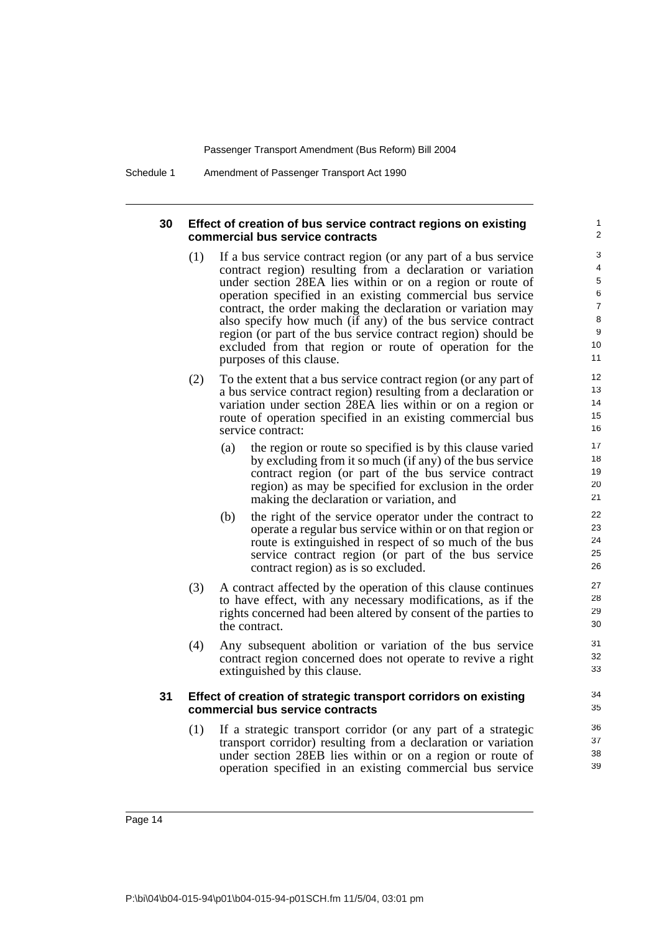Schedule 1 Amendment of Passenger Transport Act 1990

### **30 Effect of creation of bus service contract regions on existing commercial bus service contracts**

(1) If a bus service contract region (or any part of a bus service contract region) resulting from a declaration or variation under section 28EA lies within or on a region or route of operation specified in an existing commercial bus service contract, the order making the declaration or variation may also specify how much (if any) of the bus service contract region (or part of the bus service contract region) should be excluded from that region or route of operation for the purposes of this clause.

- (2) To the extent that a bus service contract region (or any part of a bus service contract region) resulting from a declaration or variation under section 28EA lies within or on a region or route of operation specified in an existing commercial bus service contract:
	- (a) the region or route so specified is by this clause varied by excluding from it so much (if any) of the bus service contract region (or part of the bus service contract region) as may be specified for exclusion in the order making the declaration or variation, and
	- (b) the right of the service operator under the contract to operate a regular bus service within or on that region or route is extinguished in respect of so much of the bus service contract region (or part of the bus service contract region) as is so excluded.
- (3) A contract affected by the operation of this clause continues to have effect, with any necessary modifications, as if the rights concerned had been altered by consent of the parties to the contract.
- (4) Any subsequent abolition or variation of the bus service contract region concerned does not operate to revive a right extinguished by this clause.

### **31 Effect of creation of strategic transport corridors on existing commercial bus service contracts**

(1) If a strategic transport corridor (or any part of a strategic transport corridor) resulting from a declaration or variation under section 28EB lies within or on a region or route of operation specified in an existing commercial bus service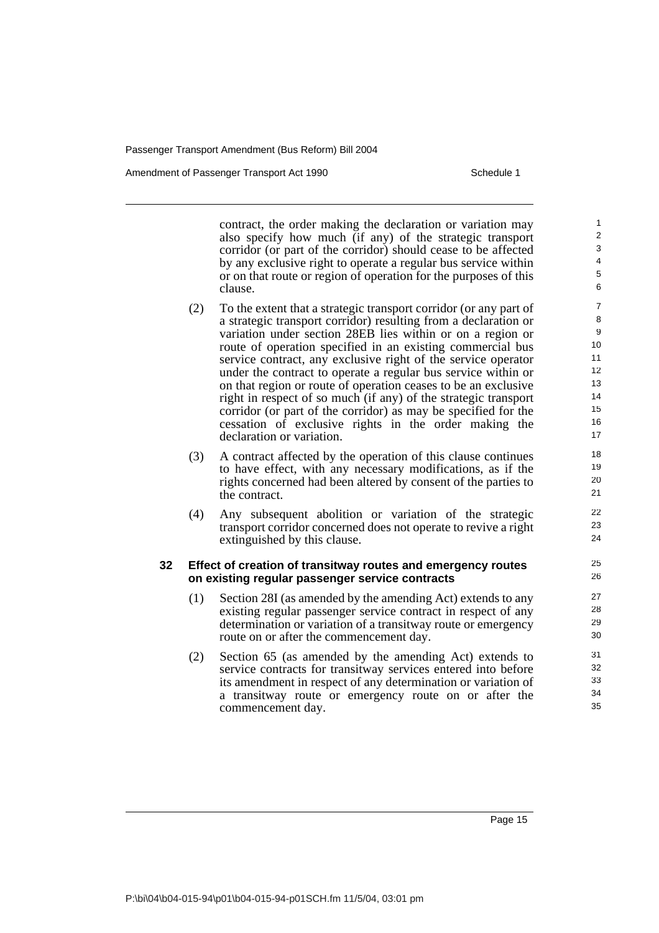Amendment of Passenger Transport Act 1990 Schedule 1

contract, the order making the declaration or variation may also specify how much (if any) of the strategic transport corridor (or part of the corridor) should cease to be affected by any exclusive right to operate a regular bus service within or on that route or region of operation for the purposes of this clause.

- (2) To the extent that a strategic transport corridor (or any part of a strategic transport corridor) resulting from a declaration or variation under section 28EB lies within or on a region or route of operation specified in an existing commercial bus service contract, any exclusive right of the service operator under the contract to operate a regular bus service within or on that region or route of operation ceases to be an exclusive right in respect of so much (if any) of the strategic transport corridor (or part of the corridor) as may be specified for the cessation of exclusive rights in the order making the declaration or variation.
- (3) A contract affected by the operation of this clause continues to have effect, with any necessary modifications, as if the rights concerned had been altered by consent of the parties to the contract.
- (4) Any subsequent abolition or variation of the strategic transport corridor concerned does not operate to revive a right extinguished by this clause.

### **32 Effect of creation of transitway routes and emergency routes on existing regular passenger service contracts**

- (1) Section 28I (as amended by the amending Act) extends to any existing regular passenger service contract in respect of any determination or variation of a transitway route or emergency route on or after the commencement day.
- (2) Section 65 (as amended by the amending Act) extends to service contracts for transitway services entered into before its amendment in respect of any determination or variation of a transitway route or emergency route on or after the commencement day.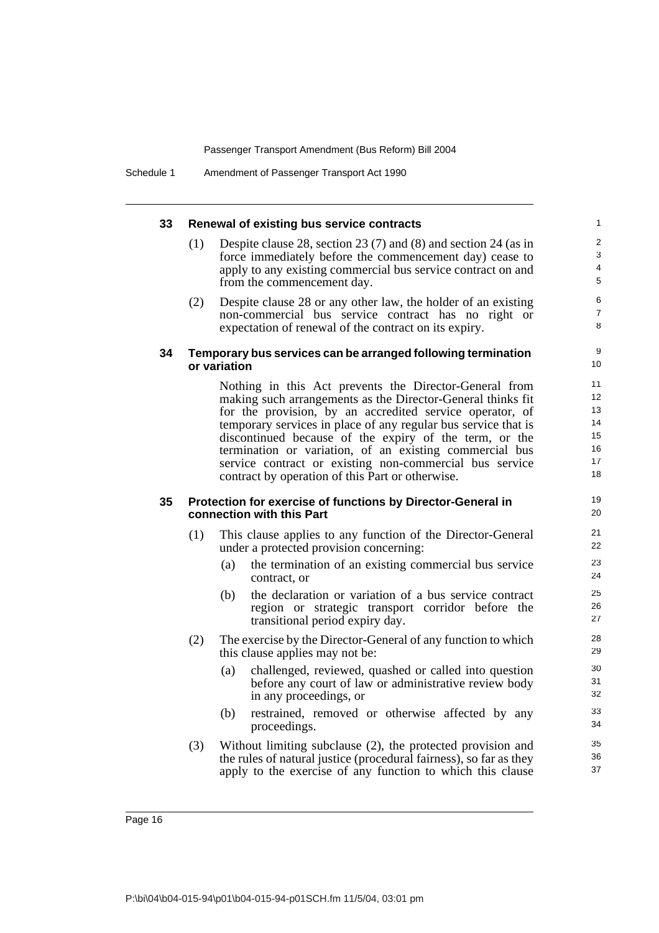#### **33 Renewal of existing bus service contracts** (1) Despite clause 28, section 23 (7) and (8) and section 24 (as in force immediately before the commencement day) cease to apply to any existing commercial bus service contract on and from the commencement day. (2) Despite clause 28 or any other law, the holder of an existing non-commercial bus service contract has no right or expectation of renewal of the contract on its expiry. **34 Temporary bus services can be arranged following termination or variation** Nothing in this Act prevents the Director-General from making such arrangements as the Director-General thinks fit for the provision, by an accredited service operator, of temporary services in place of any regular bus service that is discontinued because of the expiry of the term, or the termination or variation, of an existing commercial bus service contract or existing non-commercial bus service contract by operation of this Part or otherwise. **35 Protection for exercise of functions by Director-General in connection with this Part** (1) This clause applies to any function of the Director-General under a protected provision concerning: (a) the termination of an existing commercial bus service contract, or (b) the declaration or variation of a bus service contract region or strategic transport corridor before the transitional period expiry day. (2) The exercise by the Director-General of any function to which this clause applies may not be: (a) challenged, reviewed, quashed or called into question before any court of law or administrative review body in any proceedings, or (b) restrained, removed or otherwise affected by any proceedings. (3) Without limiting subclause (2), the protected provision and the rules of natural justice (procedural fairness), so far as they apply to the exercise of any function to which this clause 1  $\overline{2}$ 3 4 5 6 7 8 9 10 11 12 13 14 15 16 17 18 19 20 21 22 23 24 25 26 27 28 29 30 31 32 33 34 35 36 37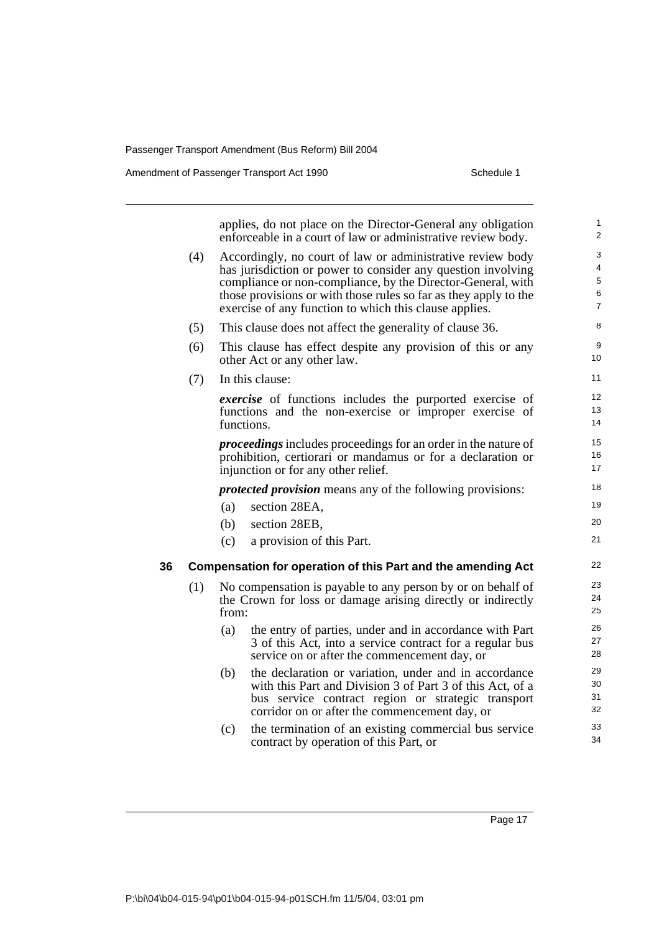|    |     |       | applies, do not place on the Director-General any obligation<br>enforceable in a court of law or administrative review body. | 1<br>$\overline{2}$    |
|----|-----|-------|------------------------------------------------------------------------------------------------------------------------------|------------------------|
|    | (4) |       | Accordingly, no court of law or administrative review body                                                                   | 3                      |
|    |     |       | has jurisdiction or power to consider any question involving                                                                 | 4                      |
|    |     |       | compliance or non-compliance, by the Director-General, with                                                                  | 5                      |
|    |     |       | those provisions or with those rules so far as they apply to the<br>exercise of any function to which this clause applies.   | 6<br>$\overline{7}$    |
|    | (5) |       | This clause does not affect the generality of clause 36.                                                                     | 8                      |
|    | (6) |       | This clause has effect despite any provision of this or any<br>other Act or any other law.                                   | $\boldsymbol{9}$<br>10 |
|    | (7) |       | In this clause:                                                                                                              | 11                     |
|    |     |       | exercise of functions includes the purported exercise of                                                                     | 12                     |
|    |     |       | functions and the non-exercise or improper exercise of                                                                       | 13                     |
|    |     |       | functions.                                                                                                                   | 14                     |
|    |     |       | <i>proceedings</i> includes proceedings for an order in the nature of                                                        | 15                     |
|    |     |       | prohibition, certiorari or mandamus or for a declaration or                                                                  | 16                     |
|    |     |       | injunction or for any other relief.                                                                                          | 17                     |
|    |     |       | <i>protected provision</i> means any of the following provisions:                                                            | 18                     |
|    |     | (a)   | section 28EA,                                                                                                                | 19                     |
|    |     | (b)   | section 28EB,                                                                                                                | 20                     |
|    |     | (c)   | a provision of this Part.                                                                                                    | 21                     |
| 36 |     |       | Compensation for operation of this Part and the amending Act                                                                 | 22                     |
|    | (1) |       | No compensation is payable to any person by or on behalf of                                                                  | 23                     |
|    |     |       | the Crown for loss or damage arising directly or indirectly                                                                  | 24                     |
|    |     | from: |                                                                                                                              | 25                     |
|    |     | (a)   | the entry of parties, under and in accordance with Part                                                                      | 26                     |
|    |     |       | 3 of this Act, into a service contract for a regular bus                                                                     | 27                     |
|    |     |       | service on or after the commencement day, or                                                                                 | 28                     |
|    |     | (b)   | the declaration or variation, under and in accordance                                                                        | 29                     |
|    |     |       | with this Part and Division 3 of Part 3 of this Act, of a                                                                    | 30<br>31               |
|    |     |       | bus service contract region or strategic transport<br>corridor on or after the commencement day, or                          | 32                     |
|    |     |       |                                                                                                                              | 33                     |
|    |     | (c)   | the termination of an existing commercial bus service<br>contract by operation of this Part, or                              | 34                     |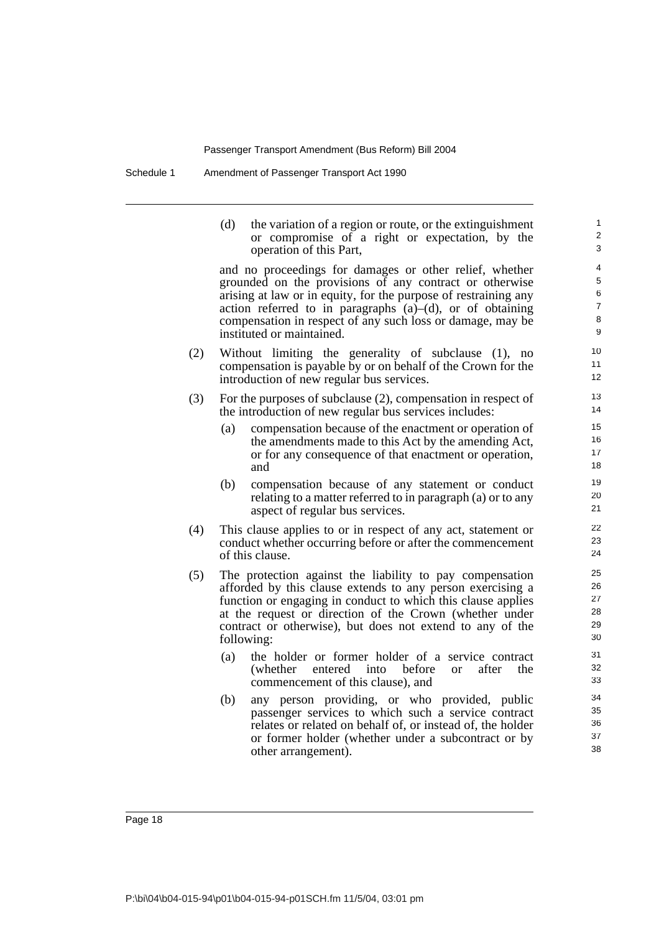Schedule 1 Amendment of Passenger Transport Act 1990

(d) the variation of a region or route, or the extinguishment or compromise of a right or expectation, by the operation of this Part,

and no proceedings for damages or other relief, whether grounded on the provisions of any contract or otherwise arising at law or in equity, for the purpose of restraining any action referred to in paragraphs  $(a)$ – $(d)$ , or of obtaining compensation in respect of any such loss or damage, may be instituted or maintained.

- (2) Without limiting the generality of subclause (1), no compensation is payable by or on behalf of the Crown for the introduction of new regular bus services.
- (3) For the purposes of subclause (2), compensation in respect of the introduction of new regular bus services includes:
	- (a) compensation because of the enactment or operation of the amendments made to this Act by the amending Act, or for any consequence of that enactment or operation, and
	- (b) compensation because of any statement or conduct relating to a matter referred to in paragraph (a) or to any aspect of regular bus services.
- (4) This clause applies to or in respect of any act, statement or conduct whether occurring before or after the commencement of this clause.
- (5) The protection against the liability to pay compensation afforded by this clause extends to any person exercising a function or engaging in conduct to which this clause applies at the request or direction of the Crown (whether under contract or otherwise), but does not extend to any of the following:
	- (a) the holder or former holder of a service contract (whether entered into before or after the commencement of this clause), and
	- (b) any person providing, or who provided, public passenger services to which such a service contract relates or related on behalf of, or instead of, the holder or former holder (whether under a subcontract or by other arrangement).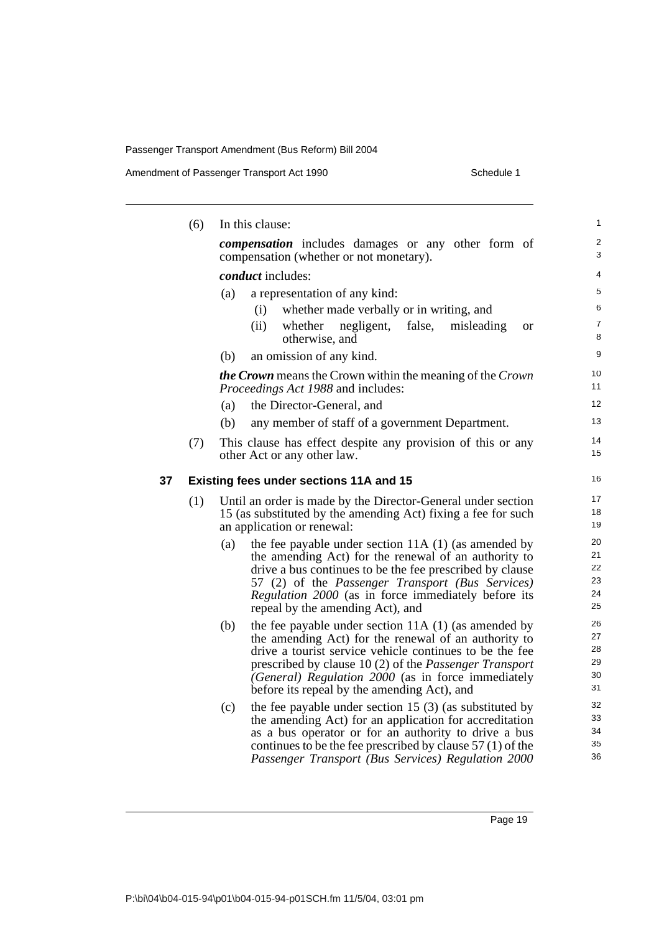### Amendment of Passenger Transport Act 1990 Schedule 1

|    | (6) |     | In this clause:                                                                                                                                             | 1              |
|----|-----|-----|-------------------------------------------------------------------------------------------------------------------------------------------------------------|----------------|
|    |     |     | <i>compensation</i> includes damages or any other form of<br>compensation (whether or not monetary).                                                        | 2<br>3         |
|    |     |     | conduct includes:                                                                                                                                           | 4              |
|    |     | (a) | a representation of any kind:                                                                                                                               | 5              |
|    |     |     | whether made verbally or in writing, and<br>(i)                                                                                                             | 6              |
|    |     |     | (ii)<br>negligent, false,<br>whether<br>misleading<br><b>or</b><br>otherwise, and                                                                           | 7<br>8         |
|    |     | (b) | an omission of any kind.                                                                                                                                    | 9              |
|    |     |     | the Crown means the Crown within the meaning of the Crown<br>Proceedings Act 1988 and includes:                                                             | 10<br>11       |
|    |     | (a) | the Director-General, and                                                                                                                                   | 12             |
|    |     | (b) | any member of staff of a government Department.                                                                                                             | 13             |
|    | (7) |     | This clause has effect despite any provision of this or any                                                                                                 | 14             |
|    |     |     | other Act or any other law.                                                                                                                                 | 15             |
| 37 |     |     | Existing fees under sections 11A and 15                                                                                                                     | 16             |
|    | (1) |     | Until an order is made by the Director-General under section<br>15 (as substituted by the amending Act) fixing a fee for such<br>an application or renewal: | 17<br>18<br>19 |
|    |     | (a) | the fee payable under section $11A(1)$ (as amended by                                                                                                       | 20             |
|    |     |     | the amending Act) for the renewal of an authority to                                                                                                        | 21             |
|    |     |     | drive a bus continues to be the fee prescribed by clause                                                                                                    | 22             |
|    |     |     | 57 (2) of the <i>Passenger Transport (Bus Services)</i>                                                                                                     | 23             |
|    |     |     | Regulation 2000 (as in force immediately before its<br>repeal by the amending Act), and                                                                     | 24<br>25       |
|    |     | (b) | the fee payable under section 11A (1) (as amended by                                                                                                        | 26             |
|    |     |     | the amending Act) for the renewal of an authority to                                                                                                        | 27             |
|    |     |     | drive a tourist service vehicle continues to be the fee                                                                                                     | 28             |
|    |     |     | prescribed by clause 10 (2) of the <i>Passenger Transport</i>                                                                                               | 29             |
|    |     |     | (General) Regulation 2000 (as in force immediately                                                                                                          | 30             |
|    |     |     | before its repeal by the amending Act), and                                                                                                                 | 31             |
|    |     | (c) | the fee payable under section 15 $(3)$ (as substituted by                                                                                                   | 32             |
|    |     |     | the amending Act) for an application for accreditation                                                                                                      | 33             |
|    |     |     | as a bus operator or for an authority to drive a bus                                                                                                        | 34             |
|    |     |     | continues to be the fee prescribed by clause $57(1)$ of the<br>Passenger Transport (Bus Services) Regulation 2000                                           | 35<br>36       |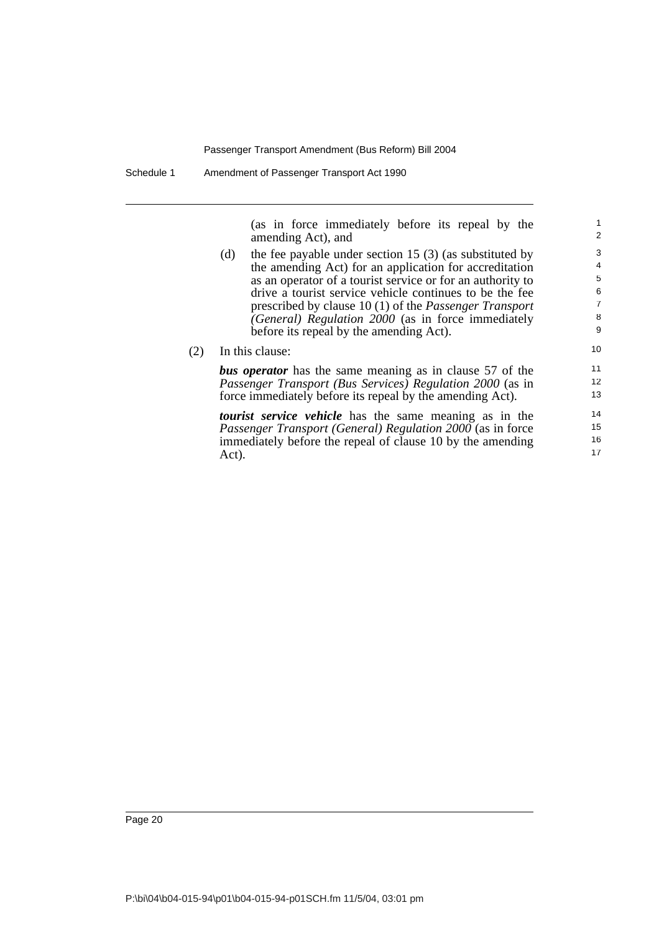(as in force immediately before its repeal by the amending Act), and

- (d) the fee payable under section 15 (3) (as substituted by the amending Act) for an application for accreditation as an operator of a tourist service or for an authority to drive a tourist service vehicle continues to be the fee prescribed by clause 10 (1) of the *Passenger Transport (General) Regulation 2000* (as in force immediately before its repeal by the amending Act).
- (2) In this clause:

*bus operator* has the same meaning as in clause 57 of the *Passenger Transport (Bus Services) Regulation 2000* (as in force immediately before its repeal by the amending Act).

*tourist service vehicle* has the same meaning as in the *Passenger Transport (General) Regulation 2000* (as in force immediately before the repeal of clause 10 by the amending Act).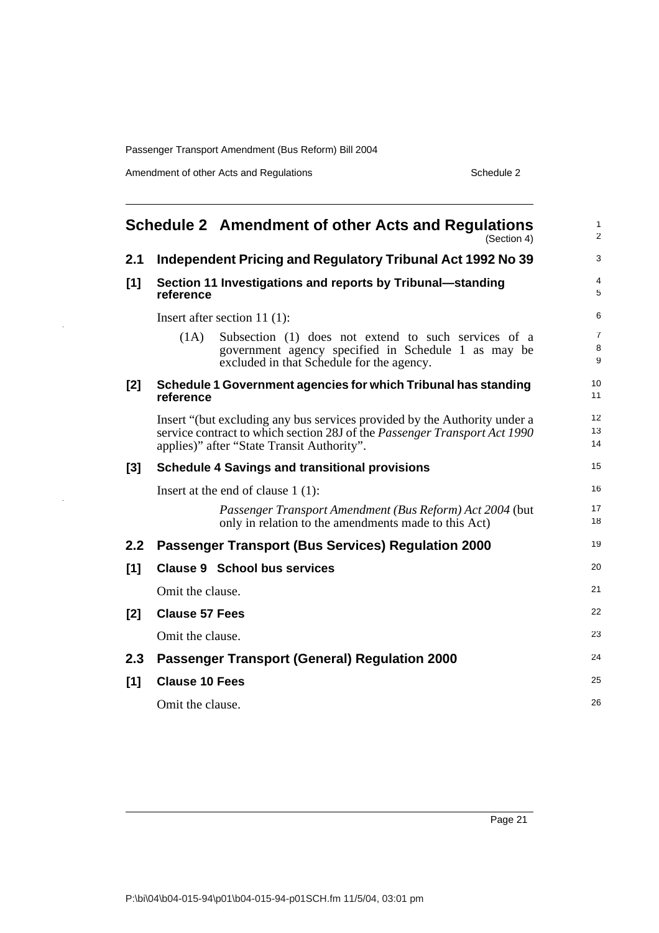Amendment of other Acts and Regulations **Schedule 2** Schedule 2

<span id="page-30-0"></span>

| Schedule 2 Amendment of other Acts and Regulations<br>(Section 4) |                                                                                                                                                                                                      | 1<br>$\overline{c}$ |
|-------------------------------------------------------------------|------------------------------------------------------------------------------------------------------------------------------------------------------------------------------------------------------|---------------------|
| 2.1                                                               | Independent Pricing and Regulatory Tribunal Act 1992 No 39                                                                                                                                           | 3                   |
| [1]                                                               | Section 11 Investigations and reports by Tribunal-standing<br>reference                                                                                                                              | 4<br>5              |
|                                                                   | Insert after section 11 $(1)$ :                                                                                                                                                                      | 6                   |
|                                                                   | Subsection (1) does not extend to such services of a<br>(1A)<br>government agency specified in Schedule 1 as may be<br>excluded in that Schedule for the agency.                                     | 7<br>8<br>9         |
| [2]                                                               | Schedule 1 Government agencies for which Tribunal has standing<br>reference                                                                                                                          | 10<br>11            |
|                                                                   | Insert "(but excluding any bus services provided by the Authority under a<br>service contract to which section 28J of the Passenger Transport Act 1990<br>applies)" after "State Transit Authority". | 12<br>13<br>14      |
| [3]                                                               | <b>Schedule 4 Savings and transitional provisions</b>                                                                                                                                                | 15                  |
|                                                                   | Insert at the end of clause $1(1)$ :                                                                                                                                                                 | 16                  |
|                                                                   | Passenger Transport Amendment (Bus Reform) Act 2004 (but<br>only in relation to the amendments made to this Act)                                                                                     | 17<br>18            |
| 2.2                                                               | <b>Passenger Transport (Bus Services) Regulation 2000</b>                                                                                                                                            | 19                  |
| $[1]$                                                             | <b>Clause 9 School bus services</b>                                                                                                                                                                  | 20                  |
|                                                                   | Omit the clause.                                                                                                                                                                                     | 21                  |
| [2]                                                               | <b>Clause 57 Fees</b>                                                                                                                                                                                | 22                  |
|                                                                   | Omit the clause.                                                                                                                                                                                     | 23                  |
| 2.3                                                               | <b>Passenger Transport (General) Regulation 2000</b>                                                                                                                                                 | 24                  |
| [1]                                                               | <b>Clause 10 Fees</b>                                                                                                                                                                                | 25                  |
|                                                                   | Omit the clause.                                                                                                                                                                                     | 26                  |